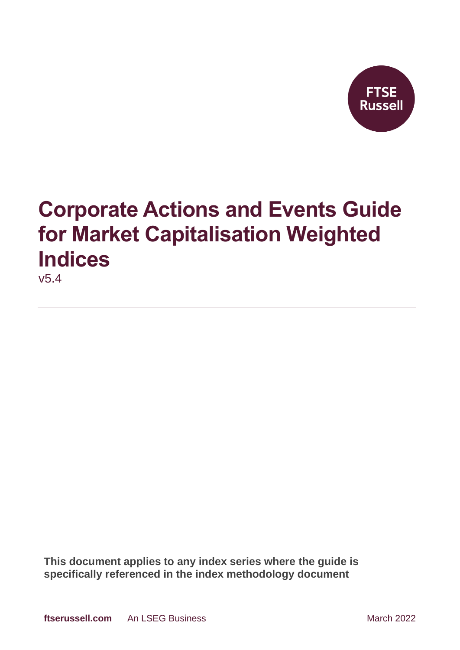

# **Corporate Actions and Events Guide for Market Capitalisation Weighted Indices**

v5.4

**This document applies to any index series where the guide is specifically referenced in the index methodology document**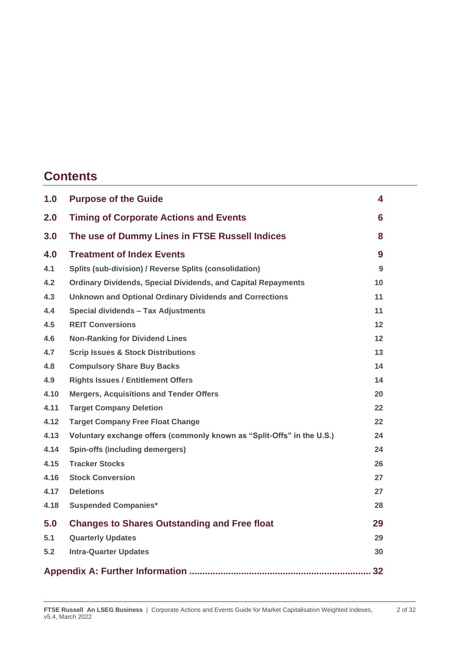### **Contents**

| 1.0  | <b>Purpose of the Guide</b>                                            | 4                 |
|------|------------------------------------------------------------------------|-------------------|
| 2.0  | <b>Timing of Corporate Actions and Events</b>                          | 6                 |
| 3.0  | The use of Dummy Lines in FTSE Russell Indices                         | 8                 |
| 4.0  | <b>Treatment of Index Events</b>                                       | 9                 |
| 4.1  | <b>Splits (sub-division) / Reverse Splits (consolidation)</b>          | 9                 |
| 4.2  | <b>Ordinary Dividends, Special Dividends, and Capital Repayments</b>   | 10                |
| 4.3  | <b>Unknown and Optional Ordinary Dividends and Corrections</b>         | 11                |
| 4.4  | Special dividends - Tax Adjustments                                    | 11                |
| 4.5  | <b>REIT Conversions</b>                                                | 12 <sub>2</sub>   |
| 4.6  | <b>Non-Ranking for Dividend Lines</b>                                  | 12 <sub>2</sub>   |
| 4.7  | <b>Scrip Issues &amp; Stock Distributions</b>                          | 13                |
| 4.8  | <b>Compulsory Share Buy Backs</b>                                      | 14                |
| 4.9  | <b>Rights Issues / Entitlement Offers</b>                              | 14                |
| 4.10 | <b>Mergers, Acquisitions and Tender Offers</b>                         | 20                |
| 4.11 | <b>Target Company Deletion</b>                                         | $22 \overline{ }$ |
| 4.12 | <b>Target Company Free Float Change</b>                                | $22 \,$           |
| 4.13 | Voluntary exchange offers (commonly known as "Split-Offs" in the U.S.) | 24                |
| 4.14 | Spin-offs (including demergers)                                        | 24                |
| 4.15 | <b>Tracker Stocks</b>                                                  | 26                |
| 4.16 | <b>Stock Conversion</b>                                                | 27                |
| 4.17 | <b>Deletions</b>                                                       | 27                |
| 4.18 | <b>Suspended Companies*</b>                                            | 28                |
| 5.0  | <b>Changes to Shares Outstanding and Free float</b>                    | 29                |
| 5.1  | <b>Quarterly Updates</b>                                               | 29                |
| 5.2  | <b>Intra-Quarter Updates</b>                                           | 30                |
|      |                                                                        |                   |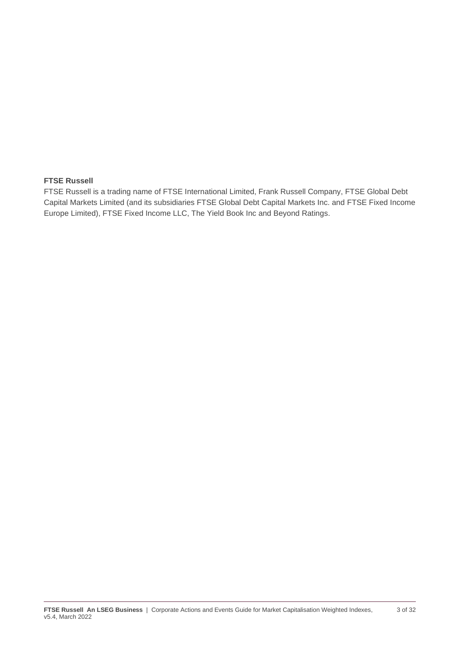#### **FTSE Russell**

FTSE Russell is a trading name of FTSE International Limited, Frank Russell Company, FTSE Global Debt Capital Markets Limited (and its subsidiaries FTSE Global Debt Capital Markets Inc. and FTSE Fixed Income Europe Limited), FTSE Fixed Income LLC, The Yield Book Inc and Beyond Ratings.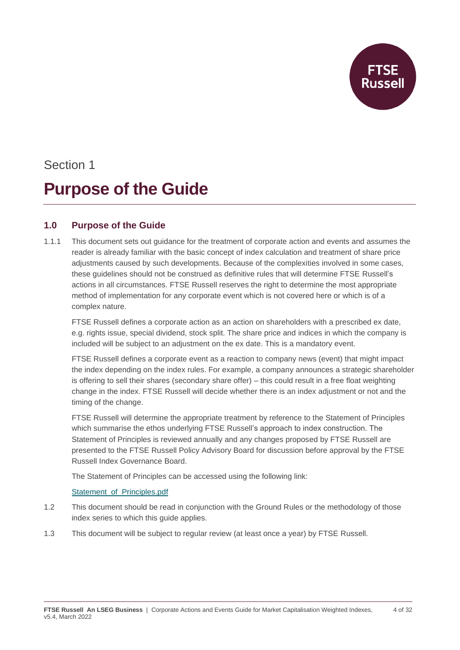## Section 1 **Purpose of the Guide**

#### **1.0 Purpose of the Guide**

1.1.1 This document sets out guidance for the treatment of corporate action and events and assumes the reader is already familiar with the basic concept of index calculation and treatment of share price adjustments caused by such developments. Because of the complexities involved in some cases, these guidelines should not be construed as definitive rules that will determine FTSE Russell's actions in all circumstances. FTSE Russell reserves the right to determine the most appropriate method of implementation for any corporate event which is not covered here or which is of a complex nature.

FTSE Russell defines a corporate action as an action on shareholders with a prescribed ex date, e.g. rights issue, special dividend, stock split. The share price and indices in which the company is included will be subject to an adjustment on the ex date. This is a mandatory event.

FTSE Russell defines a corporate event as a reaction to company news (event) that might impact the index depending on the index rules. For example, a company announces a strategic shareholder is offering to sell their shares (secondary share offer) – this could result in a free float weighting change in the index. FTSE Russell will decide whether there is an index adjustment or not and the timing of the change.

FTSE Russell will determine the appropriate treatment by reference to the Statement of Principles which summarise the ethos underlying FTSE Russell's approach to index construction. The Statement of Principles is reviewed annually and any changes proposed by FTSE Russell are presented to the FTSE Russell Policy Advisory Board for discussion before approval by the FTSE Russell Index Governance Board.

The Statement of Principles can be accessed using the following link:

#### [Statement\\_of\\_Principles.pdf](https://research.ftserussell.com/products/downloads/Statement_of_Principles.pdf)

- 1.2 This document should be read in conjunction with the Ground Rules or the methodology of those index series to which this guide applies.
- 1.3 This document will be subject to regular review (at least once a year) by FTSE Russell.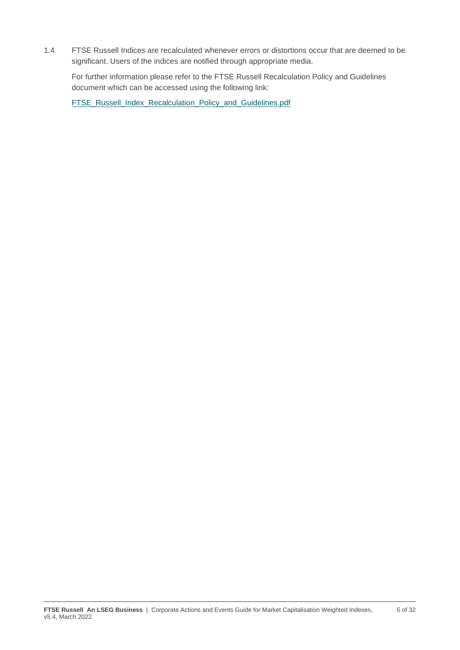1.4 FTSE Russell Indices are recalculated whenever errors or distortions occur that are deemed to be significant. Users of the indices are notified through appropriate media.

For further information please refer to the FTSE Russell Recalculation Policy and Guidelines document which can be accessed using the following link:

[FTSE\\_Russell\\_Index\\_Recalculation\\_Policy\\_and\\_Guidelines.pdf](https://research.ftserussell.com/products/downloads/Equity_Index_Recalculation_Policy_and_Guidelines.pdf?_ga=2.75765909.1015990945.1601892371-1548400649.1593679882)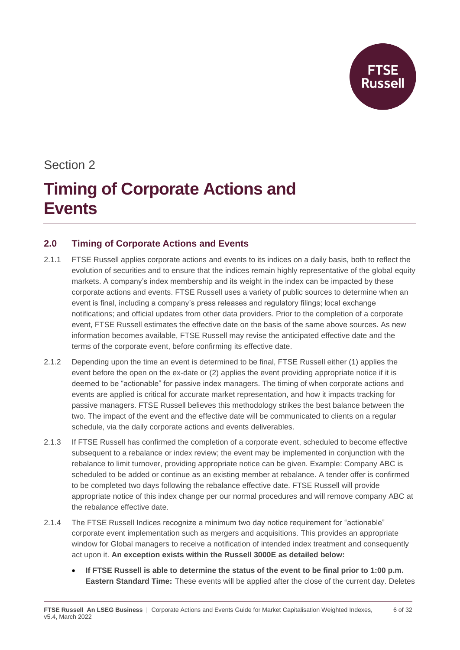

### Section 2

## **Timing of Corporate Actions and Events**

#### **2.0 Timing of Corporate Actions and Events**

- 2.1.1 FTSE Russell applies corporate actions and events to its indices on a daily basis, both to reflect the evolution of securities and to ensure that the indices remain highly representative of the global equity markets. A company's index membership and its weight in the index can be impacted by these corporate actions and events. FTSE Russell uses a variety of public sources to determine when an event is final, including a company's press releases and regulatory filings; local exchange notifications; and official updates from other data providers. Prior to the completion of a corporate event, FTSE Russell estimates the effective date on the basis of the same above sources. As new information becomes available, FTSE Russell may revise the anticipated effective date and the terms of the corporate event, before confirming its effective date.
- 2.1.2 Depending upon the time an event is determined to be final, FTSE Russell either (1) applies the event before the open on the ex-date or (2) applies the event providing appropriate notice if it is deemed to be "actionable" for passive index managers. The timing of when corporate actions and events are applied is critical for accurate market representation, and how it impacts tracking for passive managers. FTSE Russell believes this methodology strikes the best balance between the two. The impact of the event and the effective date will be communicated to clients on a regular schedule, via the daily corporate actions and events deliverables.
- 2.1.3 If FTSE Russell has confirmed the completion of a corporate event, scheduled to become effective subsequent to a rebalance or index review; the event may be implemented in conjunction with the rebalance to limit turnover, providing appropriate notice can be given. Example: Company ABC is scheduled to be added or continue as an existing member at rebalance. A tender offer is confirmed to be completed two days following the rebalance effective date. FTSE Russell will provide appropriate notice of this index change per our normal procedures and will remove company ABC at the rebalance effective date.
- 2.1.4 The FTSE Russell Indices recognize a minimum two day notice requirement for "actionable" corporate event implementation such as mergers and acquisitions. This provides an appropriate window for Global managers to receive a notification of intended index treatment and consequently act upon it. **An exception exists within the Russell 3000E as detailed below:**
	- **If FTSE Russell is able to determine the status of the event to be final prior to 1:00 p.m. Eastern Standard Time:** These events will be applied after the close of the current day. Deletes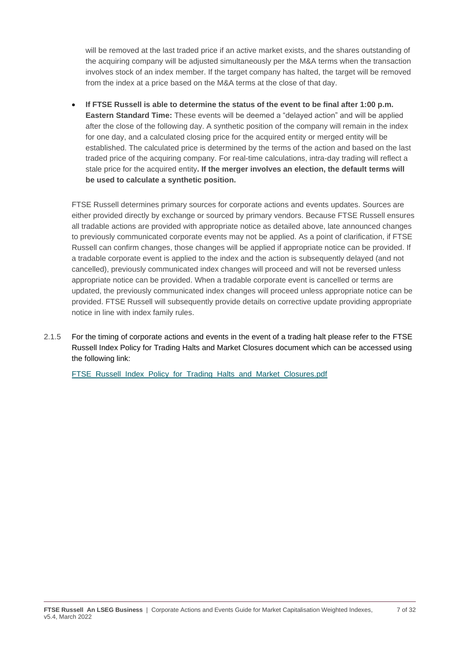will be removed at the last traded price if an active market exists, and the shares outstanding of the acquiring company will be adjusted simultaneously per the M&A terms when the transaction involves stock of an index member. If the target company has halted, the target will be removed from the index at a price based on the M&A terms at the close of that day.

• **If FTSE Russell is able to determine the status of the event to be final after 1:00 p.m. Eastern Standard Time:** These events will be deemed a "delayed action" and will be applied after the close of the following day. A synthetic position of the company will remain in the index for one day, and a calculated closing price for the acquired entity or merged entity will be established. The calculated price is determined by the terms of the action and based on the last traded price of the acquiring company. For real-time calculations, intra-day trading will reflect a stale price for the acquired entity**. If the merger involves an election, the default terms will be used to calculate a synthetic position.** 

FTSE Russell determines primary sources for corporate actions and events updates. Sources are either provided directly by exchange or sourced by primary vendors. Because FTSE Russell ensures all tradable actions are provided with appropriate notice as detailed above, late announced changes to previously communicated corporate events may not be applied. As a point of clarification, if FTSE Russell can confirm changes, those changes will be applied if appropriate notice can be provided. If a tradable corporate event is applied to the index and the action is subsequently delayed (and not cancelled), previously communicated index changes will proceed and will not be reversed unless appropriate notice can be provided. When a tradable corporate event is cancelled or terms are updated, the previously communicated index changes will proceed unless appropriate notice can be provided. FTSE Russell will subsequently provide details on corrective update providing appropriate notice in line with index family rules.

2.1.5 For the timing of corporate actions and events in the event of a trading halt please refer to the FTSE Russell Index Policy for Trading Halts and Market Closures document which can be accessed using the following link:

[FTSE\\_Russell\\_Index\\_Policy\\_for\\_Trading\\_Halts\\_and\\_Market\\_Closures.pdf](https://research.ftserussell.com/products/downloads/FTSE_Russell_Index_Policy_for_Trading_Halts_and_Market_Closures.pdf)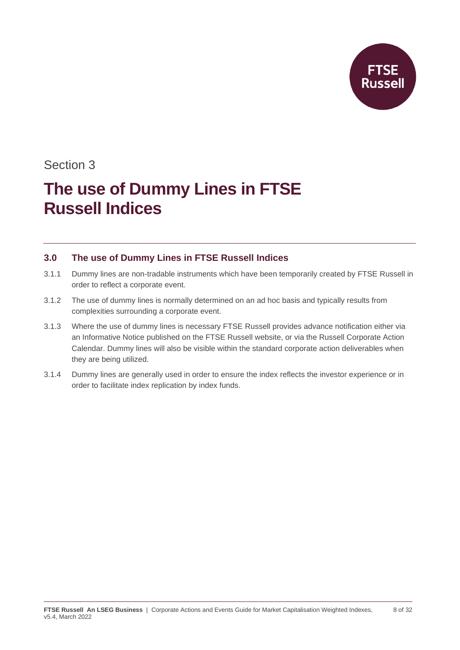

### Section 3

## **The use of Dummy Lines in FTSE Russell Indices**

#### **3.0 The use of Dummy Lines in FTSE Russell Indices**

- 3.1.1 Dummy lines are non-tradable instruments which have been temporarily created by FTSE Russell in order to reflect a corporate event.
- 3.1.2 The use of dummy lines is normally determined on an ad hoc basis and typically results from complexities surrounding a corporate event.
- 3.1.3 Where the use of dummy lines is necessary FTSE Russell provides advance notification either via an Informative Notice published on the FTSE Russell website, or via the Russell Corporate Action Calendar. Dummy lines will also be visible within the standard corporate action deliverables when they are being utilized.
- 3.1.4 Dummy lines are generally used in order to ensure the index reflects the investor experience or in order to facilitate index replication by index funds.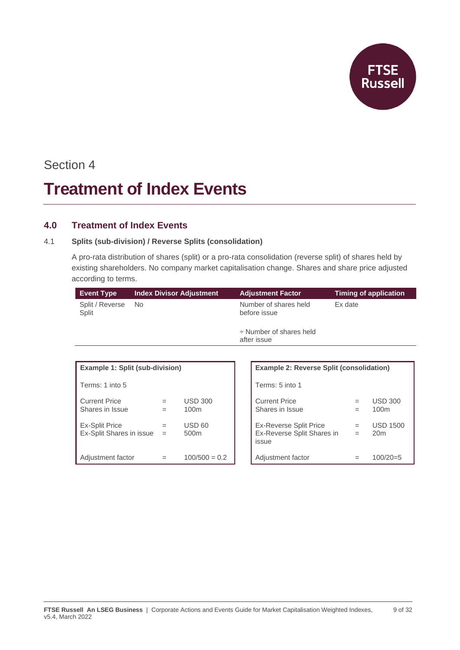**FTSE**<br>Russell

### Section 4

## **Treatment of Index Events**

#### **4.0 Treatment of Index Events**

#### 4.1 **Splits (sub-division) / Reverse Splits (consolidation)**

A pro-rata distribution of shares (split) or a pro-rata consolidation (reverse split) of shares held by existing shareholders. No company market capitalisation change. Shares and share price adjusted according to terms.

| <b>Event Type</b>        | <b>Index Divisor Adjustment</b> | <b>Adjustment Factor</b>                    | Timing of application |
|--------------------------|---------------------------------|---------------------------------------------|-----------------------|
| Split / Reverse<br>Split | No.                             | Number of shares held<br>before issue       | Ex date               |
|                          |                                 | $\div$ Number of shares held<br>after issue |                       |

| <b>Example 1: Split (sub-division)</b>            |            |                                    | <b>Example 2: Reverse Split (consolidation)</b>                      |            |                               |
|---------------------------------------------------|------------|------------------------------------|----------------------------------------------------------------------|------------|-------------------------------|
| Terms: 1 into 5                                   |            |                                    | Terms: 5 into 1                                                      |            |                               |
| <b>Current Price</b><br>Shares in Issue           | $=$        | <b>USD 300</b><br>100 <sub>m</sub> | <b>Current Price</b><br>Shares in Issue                              | $=$<br>=   | USD.<br>100m                  |
| <b>Ex-Split Price</b><br>Ex-Split Shares in issue | $=$<br>$=$ | <b>USD 60</b><br>500 <sub>m</sub>  | <b>Ex-Reverse Split Price</b><br>Ex-Reverse Split Shares in<br>issue | $=$<br>$=$ | <b>USD</b><br>20 <sub>m</sub> |
| Adjustment factor                                 |            | $100/500 = 0.2$                    | Adjustment factor                                                    |            | 100/2                         |

| <b>Example 1: Split (sub-division)</b>     |            |                                    | <b>Example 2: Reverse Split (consolidation)</b>               |            |                                    |
|--------------------------------------------|------------|------------------------------------|---------------------------------------------------------------|------------|------------------------------------|
| Terms: 1 into 5                            |            |                                    | Terms: 5 into 1                                               |            |                                    |
| <b>Current Price</b><br>Shares in Issue    | $=$<br>$=$ | <b>USD 300</b><br>100 <sub>m</sub> | <b>Current Price</b><br>Shares in Issue                       | $=$<br>$=$ | <b>USD 300</b><br>100 <sub>m</sub> |
| Ex-Split Price<br>Ex-Split Shares in issue | $=$<br>$=$ | <b>USD 60</b><br>500 <sub>m</sub>  | Ex-Reverse Split Price<br>Ex-Reverse Split Shares in<br>issue | $=$<br>$=$ | <b>USD 1500</b><br>20 <sub>m</sub> |
| Adjustment factor                          | $=$        | $100/500 = 0.2$                    | Adjustment factor                                             |            | $100/20=5$                         |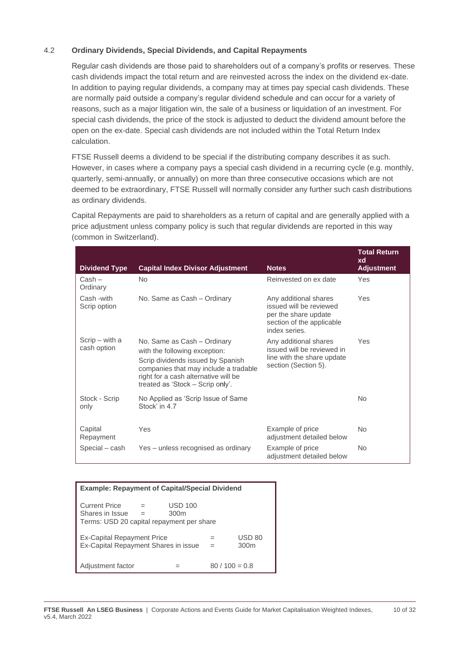#### 4.2 **Ordinary Dividends, Special Dividends, and Capital Repayments**

Regular cash dividends are those paid to shareholders out of a company's profits or reserves. These cash dividends impact the total return and are reinvested across the index on the dividend ex-date. In addition to paying regular dividends, a company may at times pay special cash dividends. These are normally paid outside a company's regular dividend schedule and can occur for a variety of reasons, such as a major litigation win, the sale of a business or liquidation of an investment. For special cash dividends, the price of the stock is adjusted to deduct the dividend amount before the open on the ex-date. Special cash dividends are not included within the Total Return Index calculation.

FTSE Russell deems a dividend to be special if the distributing company describes it as such. However, in cases where a company pays a special cash dividend in a recurring cycle (e.g. monthly, quarterly, semi-annually, or annually) on more than three consecutive occasions which are not deemed to be extraordinary, FTSE Russell will normally consider any further such cash distributions as ordinary dividends.

Capital Repayments are paid to shareholders as a return of capital and are generally applied with a price adjustment unless company policy is such that regular dividends are reported in this way (common in Switzerland).

| <b>Dividend Type</b>          | <b>Capital Index Divisor Adjustment</b>                                                                                                                                                                                | <b>Notes</b>                                                                                                           | <b>Total Return</b><br>xd<br><b>Adjustment</b> |
|-------------------------------|------------------------------------------------------------------------------------------------------------------------------------------------------------------------------------------------------------------------|------------------------------------------------------------------------------------------------------------------------|------------------------------------------------|
| $Cash -$<br>Ordinary          | N <sub>o</sub>                                                                                                                                                                                                         | Reinvested on ex date                                                                                                  | Yes                                            |
| Cash -with<br>Scrip option    | No. Same as Cash - Ordinary                                                                                                                                                                                            | Any additional shares<br>issued will be reviewed<br>per the share update<br>section of the applicable<br>index series. | Yes                                            |
| Scrip – with a<br>cash option | No. Same as Cash - Ordinary<br>with the following exception:<br>Scrip dividends issued by Spanish<br>companies that may include a tradable<br>right for a cash alternative will be<br>treated as 'Stock – Scrip only'. | Any additional shares<br>issued will be reviewed in<br>line with the share update<br>section (Section 5).              | Yes                                            |
| Stock - Scrip<br>only         | No Applied as 'Scrip Issue of Same<br>Stock' in 4.7                                                                                                                                                                    |                                                                                                                        | N <sub>o</sub>                                 |
| Capital<br>Repayment          | Yes                                                                                                                                                                                                                    | Example of price<br>adjustment detailed below                                                                          | N <sub>o</sub>                                 |
| Special – cash                | Yes – unless recognised as ordinary                                                                                                                                                                                    | Example of price<br>adjustment detailed below                                                                          | <b>No</b>                                      |

| <b>Example: Repayment of Capital/Special Dividend</b>                                                                      |  |  |                |  |  |  |  |
|----------------------------------------------------------------------------------------------------------------------------|--|--|----------------|--|--|--|--|
| <b>Current Price</b><br>USD 100<br>$=$<br>Shares in Issue<br>300 <sub>m</sub><br>Terms: USD 20 capital repayment per share |  |  |                |  |  |  |  |
| <b>Ex-Capital Repayment Price</b><br>USD 80<br>Ex-Capital Repayment Shares in issue<br>300 <sub>m</sub>                    |  |  |                |  |  |  |  |
| Adjustment factor                                                                                                          |  |  | $80/100 = 0.8$ |  |  |  |  |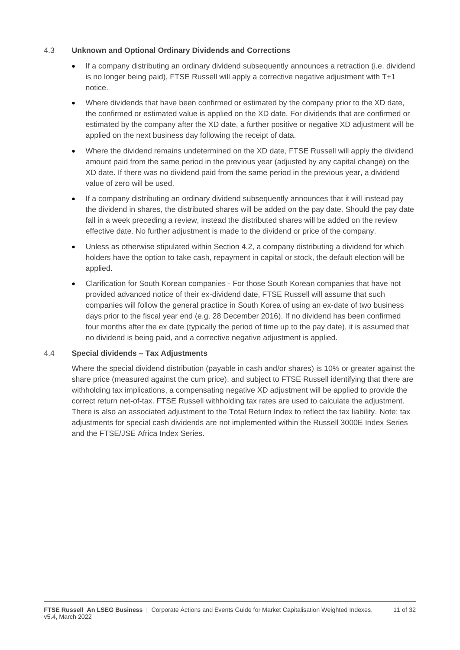#### 4.3 **Unknown and Optional Ordinary Dividends and Corrections**

- If a company distributing an ordinary dividend subsequently announces a retraction (i.e. dividend is no longer being paid), FTSE Russell will apply a corrective negative adjustment with T+1 notice.
- Where dividends that have been confirmed or estimated by the company prior to the XD date, the confirmed or estimated value is applied on the XD date. For dividends that are confirmed or estimated by the company after the XD date, a further positive or negative XD adjustment will be applied on the next business day following the receipt of data.
- Where the dividend remains undetermined on the XD date, FTSE Russell will apply the dividend amount paid from the same period in the previous year (adjusted by any capital change) on the XD date. If there was no dividend paid from the same period in the previous year, a dividend value of zero will be used.
- If a company distributing an ordinary dividend subsequently announces that it will instead pay the dividend in shares, the distributed shares will be added on the pay date. Should the pay date fall in a week preceding a review, instead the distributed shares will be added on the review effective date. No further adjustment is made to the dividend or price of the company.
- Unless as otherwise stipulated within Section 4.2, a company distributing a dividend for which holders have the option to take cash, repayment in capital or stock, the default election will be applied.
- Clarification for South Korean companies For those South Korean companies that have not provided advanced notice of their ex-dividend date, FTSE Russell will assume that such companies will follow the general practice in South Korea of using an ex-date of two business days prior to the fiscal year end (e.g. 28 December 2016). If no dividend has been confirmed four months after the ex date (typically the period of time up to the pay date), it is assumed that no dividend is being paid, and a corrective negative adjustment is applied.

#### 4.4 **Special dividends – Tax Adjustments**

Where the special dividend distribution (payable in cash and/or shares) is 10% or greater against the share price (measured against the cum price), and subject to FTSE Russell identifying that there are withholding tax implications, a compensating negative XD adjustment will be applied to provide the correct return net-of-tax. FTSE Russell withholding tax rates are used to calculate the adjustment. There is also an associated adjustment to the Total Return Index to reflect the tax liability. Note: tax adjustments for special cash dividends are not implemented within the Russell 3000E Index Series and the FTSE/JSE Africa Index Series.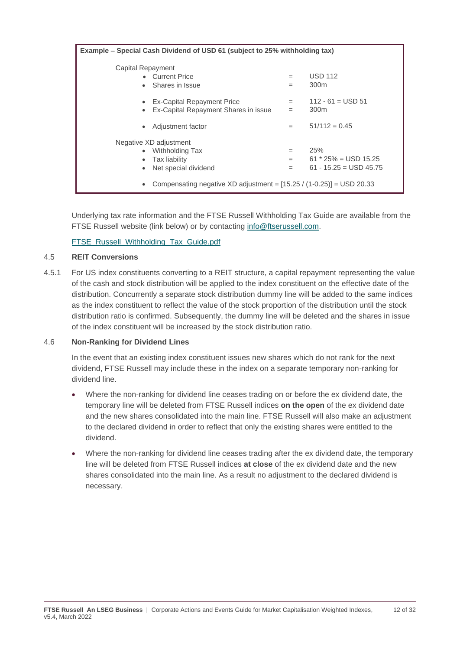| Example - Special Cash Dividend of USD 61 (subject to 25% withholding tax)                                                                                       |                   |                                                                    |  |  |  |
|------------------------------------------------------------------------------------------------------------------------------------------------------------------|-------------------|--------------------------------------------------------------------|--|--|--|
| Capital Repayment<br>• Current Price<br>Shares in Issue<br>$\bullet$                                                                                             | $=$<br>$=$        | <b>USD 112</b><br>300 <sub>m</sub>                                 |  |  |  |
| <b>Ex-Capital Repayment Price</b><br>$\bullet$<br>Ex-Capital Repayment Shares in issue<br>$\bullet$                                                              | $=$<br>$=$        | $112 - 61 =$ USD 51<br>300 <sub>m</sub>                            |  |  |  |
| Adjustment factor<br>٠                                                                                                                                           | $=$               | $51/112 = 0.45$                                                    |  |  |  |
| Negative XD adjustment<br>• Withholding Tax<br>Tax liability<br>Net special dividend<br>Compensating negative XD adjustment = $[15.25 / (1 - 0.25)] =$ USD 20.33 | $=$<br>$=$<br>$=$ | 25%<br>$61 * 25\% = \text{USD } 15.25$<br>$61 - 15.25 =$ USD 45.75 |  |  |  |

Underlying tax rate information and the FTSE Russell Withholding Tax Guide are available from the FTSE Russell website (link below) or by contacting [info@ftserussell.com.](mailto:info@ftserussell.com)

[FTSE\\_Russell\\_Withholding\\_Tax\\_Guide.pdf](https://research.ftserussell.com/products/downloads/FTSE_Russell_Withholding_Tax_Guide.pdf)

#### 4.5 **REIT Conversions**

4.5.1 For US index constituents converting to a REIT structure, a capital repayment representing the value of the cash and stock distribution will be applied to the index constituent on the effective date of the distribution. Concurrently a separate stock distribution dummy line will be added to the same indices as the index constituent to reflect the value of the stock proportion of the distribution until the stock distribution ratio is confirmed. Subsequently, the dummy line will be deleted and the shares in issue of the index constituent will be increased by the stock distribution ratio.

#### 4.6 **Non-Ranking for Dividend Lines**

In the event that an existing index constituent issues new shares which do not rank for the next dividend, FTSE Russell may include these in the index on a separate temporary non-ranking for dividend line.

- Where the non-ranking for dividend line ceases trading on or before the ex dividend date, the temporary line will be deleted from FTSE Russell indices **on the open** of the ex dividend date and the new shares consolidated into the main line. FTSE Russell will also make an adjustment to the declared dividend in order to reflect that only the existing shares were entitled to the dividend.
- Where the non-ranking for dividend line ceases trading after the ex dividend date, the temporary line will be deleted from FTSE Russell indices **at close** of the ex dividend date and the new shares consolidated into the main line. As a result no adjustment to the declared dividend is necessary.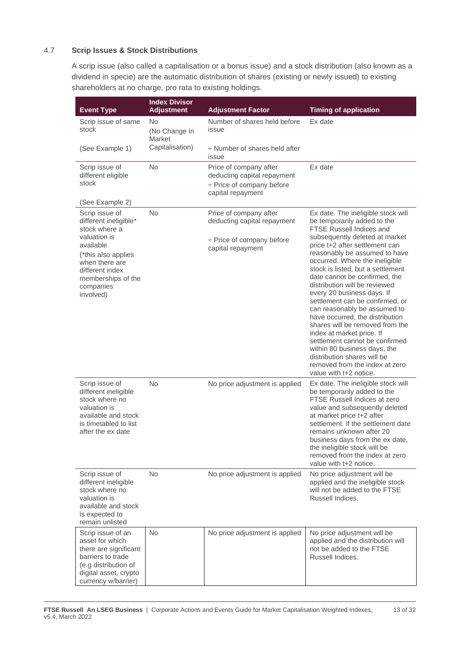#### 4.7 **Scrip Issues & Stock Distributions**

A scrip issue (also called a capitalisation or a bonus issue) and a stock distribution (also known as a dividend in specie) are the automatic distribution of shares (existing or newly issued) to existing shareholders at no charge, pro rata to existing holdings.

| <b>Event Type</b>                                                                                                                                                                                 | <b>Index Divisor</b><br><b>Adjustment</b> | <b>Adjustment Factor</b>                                                                                     | <b>Timing of application</b>                                                                                                                                                                                                                                                                                                                                                                                                                                                                                                                                                                                                                                                                                        |
|---------------------------------------------------------------------------------------------------------------------------------------------------------------------------------------------------|-------------------------------------------|--------------------------------------------------------------------------------------------------------------|---------------------------------------------------------------------------------------------------------------------------------------------------------------------------------------------------------------------------------------------------------------------------------------------------------------------------------------------------------------------------------------------------------------------------------------------------------------------------------------------------------------------------------------------------------------------------------------------------------------------------------------------------------------------------------------------------------------------|
| Scrip issue of same<br>stock                                                                                                                                                                      | No<br>(No Change in<br>Market             | Number of shares held before<br>issue                                                                        | Ex date                                                                                                                                                                                                                                                                                                                                                                                                                                                                                                                                                                                                                                                                                                             |
| (See Example 1)                                                                                                                                                                                   | Capitalisation)                           | $\div$ Number of shares held after<br>issue                                                                  |                                                                                                                                                                                                                                                                                                                                                                                                                                                                                                                                                                                                                                                                                                                     |
| Scrip issue of<br>different eligible<br>stock<br>(See Example 2)                                                                                                                                  | <b>No</b>                                 | Price of company after<br>deducting capital repayment<br>$\div$ Price of company before<br>capital repayment | Ex date                                                                                                                                                                                                                                                                                                                                                                                                                                                                                                                                                                                                                                                                                                             |
| Scrip issue of<br>different ineligible*<br>stock where a<br>valuation is<br>available<br>(*this also applies<br>when there are<br>different index<br>memberships of the<br>companies<br>involved) | <b>No</b>                                 | Price of company after<br>deducting capital repayment<br>÷ Price of company before<br>capital repayment      | Ex date. The ineligible stock will<br>be temporarily added to the<br><b>FTSE Russell Indices and</b><br>subsequently deleted at market<br>price t+2 after settlement can<br>reasonably be assumed to have<br>occurred. Where the ineligible<br>stock is listed, but a settlement<br>date cannot be confirmed, the<br>distribution will be reviewed<br>every 20 business days. If<br>settlement can be confirmed, or<br>can reasonably be assumed to<br>have occurred, the distribution<br>shares will be removed from the<br>index at market price. If<br>settlement cannot be confirmed<br>within 80 business days, the<br>distribution shares will be<br>removed from the index at zero<br>value with t+2 notice. |
| Scrip issue of<br>different ineligible<br>stock where no<br>valuation is<br>available and stock<br>is timetabled to list<br>after the ex date                                                     | <b>No</b>                                 | No price adjustment is applied                                                                               | Ex date. The ineligible stock will<br>be temporarily added to the<br>FTSE Russell Indices at zero<br>value and subsequently deleted<br>at market price t+2 after<br>settlement. If the settlement date<br>remains unknown after 20<br>business days from the ex date,<br>the ineligible stock will be<br>removed from the index at zero<br>value with t+2 notice.                                                                                                                                                                                                                                                                                                                                                   |
| Scrip issue of<br>different ineligible<br>stock where no<br>valuation is<br>available and stock<br>is expected to<br>remain unlisted                                                              | No                                        | No price adjustment is applied                                                                               | No price adjustment will be<br>applied and the ineligible stock<br>will not be added to the FTSE<br>Russell Indices.                                                                                                                                                                                                                                                                                                                                                                                                                                                                                                                                                                                                |
| Scrip issue of an<br>asset for which<br>there are significant<br>barriers to trade<br>(e.g distribution of<br>digital asset, crypto<br>currency w/barrier)                                        | <b>No</b>                                 | No price adjustment is applied                                                                               | No price adjustment will be<br>applied and the distribution will<br>not be added to the FTSE<br>Russell Indices.                                                                                                                                                                                                                                                                                                                                                                                                                                                                                                                                                                                                    |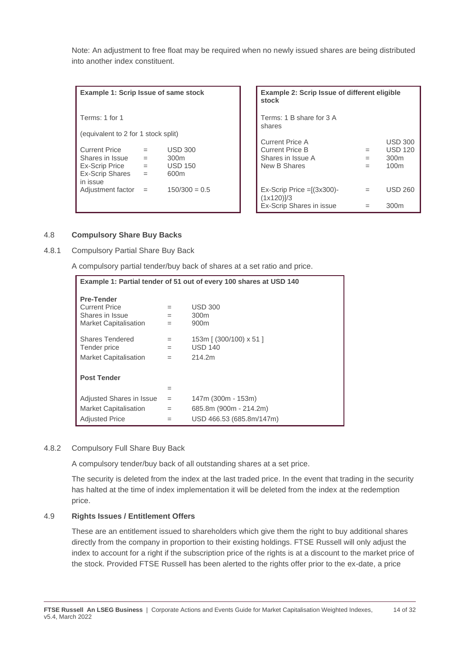Note: An adjustment to free float may be required when no newly issued shares are being distributed into another index constituent.

| Example 1: Scrip Issue of same stock |     |                  | <b>Example 2: Scrip Issue</b><br>stock         |
|--------------------------------------|-----|------------------|------------------------------------------------|
| Terms: 1 for 1                       |     |                  | Terms: 1 B share for 3 A<br>shares             |
| (equivalent to 2 for 1 stock split)  |     |                  |                                                |
|                                      |     |                  | <b>Current Price A</b>                         |
| <b>Current Price</b>                 |     | <b>USD 300</b>   | <b>Current Price B</b>                         |
| Shares in Issue                      | $=$ | 300 <sub>m</sub> | Shares in Issue A                              |
| Ex-Scrip Price                       | $=$ | <b>USD 150</b>   | New B Shares                                   |
| <b>Ex-Scrip Shares</b><br>in issue   | $=$ | 600m             |                                                |
| Adjustment factor                    | $=$ | $150/300 = 0.5$  | $Ex-Scrip$ Price $=[(3x300)-$<br>$(1x120)$ ]/3 |

| <b>Example 1: Scrip Issue of same stock</b> |           |                  | Example 2: Scrip Issue of different eligible<br>stock |     |                  |
|---------------------------------------------|-----------|------------------|-------------------------------------------------------|-----|------------------|
| Terms: 1 for 1                              |           |                  | Terms: 1 B share for 3 A<br>shares                    |     |                  |
| (equivalent to 2 for 1 stock split)         |           |                  |                                                       |     |                  |
|                                             |           |                  | <b>Current Price A</b>                                |     | <b>USD 300</b>   |
| <b>Current Price</b>                        | $=$       | <b>USD 300</b>   | <b>Current Price B</b>                                | $=$ | <b>USD 120</b>   |
| Shares in Issue                             | $=$       | 300 <sub>m</sub> | Shares in Issue A                                     | $=$ | 300 <sub>m</sub> |
| Ex-Scrip Price                              | $\quad =$ | <b>USD 150</b>   | New B Shares                                          | $=$ | 100 <sub>m</sub> |
| <b>Ex-Scrip Shares</b><br>in issue          | $=$       | 600 <sub>m</sub> |                                                       |     |                  |
| Adjustment factor =                         |           | $150/300 = 0.5$  | $Ex-Scrip$ Price $=[(3x300)-$<br>$(1x120)$ ]/3        | $=$ | <b>USD 260</b>   |
|                                             |           |                  | Ex-Scrip Shares in issue                              |     | 300 <sub>m</sub> |

#### 4.8 **Compulsory Share Buy Backs**

4.8.1 Compulsory Partial Share Buy Back

A compulsory partial tender/buy back of shares at a set ratio and price.

| Example 1: Partial tender of 51 out of every 100 shares at USD 140 |     |                          |  |  |  |
|--------------------------------------------------------------------|-----|--------------------------|--|--|--|
| <b>Pre-Tender</b><br><b>Current Price</b>                          | $=$ | <b>USD 300</b>           |  |  |  |
| Shares in Issue                                                    | $=$ | 300 <sub>m</sub>         |  |  |  |
| <b>Market Capitalisation</b>                                       | $=$ | 900 <sub>m</sub>         |  |  |  |
| Shares Tendered                                                    | $=$ | 153m [ (300/100) x 51 ]  |  |  |  |
| Tender price                                                       | $=$ | <b>USD 140</b>           |  |  |  |
| <b>Market Capitalisation</b>                                       | $=$ | 214.2m                   |  |  |  |
|                                                                    |     |                          |  |  |  |
| <b>Post Tender</b>                                                 |     |                          |  |  |  |
|                                                                    | $=$ |                          |  |  |  |
| Adjusted Shares in Issue                                           | $=$ | 147m (300m - 153m)       |  |  |  |
| <b>Market Capitalisation</b>                                       | $=$ | 685.8m (900m - 214.2m)   |  |  |  |
| <b>Adjusted Price</b>                                              | $=$ | USD 466.53 (685.8m/147m) |  |  |  |

#### 4.8.2 Compulsory Full Share Buy Back

A compulsory tender/buy back of all outstanding shares at a set price.

The security is deleted from the index at the last traded price. In the event that trading in the security has halted at the time of index implementation it will be deleted from the index at the redemption price.

#### 4.9 **Rights Issues / Entitlement Offers**

These are an entitlement issued to shareholders which give them the right to buy additional shares directly from the company in proportion to their existing holdings. FTSE Russell will only adjust the index to account for a right if the subscription price of the rights is at a discount to the market price of the stock. Provided FTSE Russell has been alerted to the rights offer prior to the ex-date, a price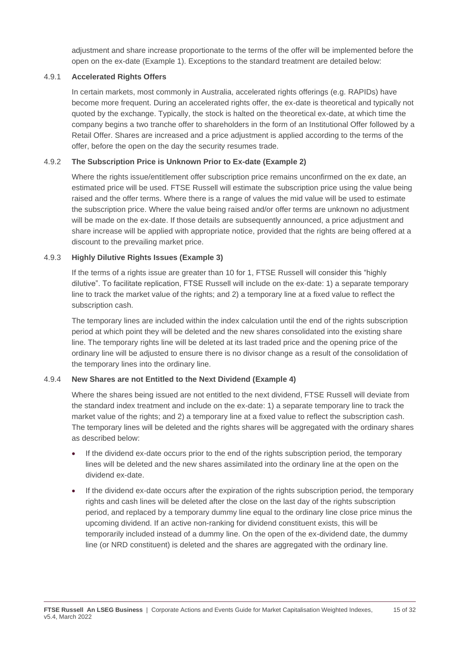adjustment and share increase proportionate to the terms of the offer will be implemented before the open on the ex-date (Example 1). Exceptions to the standard treatment are detailed below:

#### 4.9.1 **Accelerated Rights Offers**

In certain markets, most commonly in Australia, accelerated rights offerings (e.g. RAPIDs) have become more frequent. During an accelerated rights offer, the ex-date is theoretical and typically not quoted by the exchange. Typically, the stock is halted on the theoretical ex-date, at which time the company begins a two tranche offer to shareholders in the form of an Institutional Offer followed by a Retail Offer. Shares are increased and a price adjustment is applied according to the terms of the offer, before the open on the day the security resumes trade.

#### 4.9.2 **The Subscription Price is Unknown Prior to Ex-date (Example 2)**

Where the rights issue/entitlement offer subscription price remains unconfirmed on the ex date, an estimated price will be used. FTSE Russell will estimate the subscription price using the value being raised and the offer terms. Where there is a range of values the mid value will be used to estimate the subscription price. Where the value being raised and/or offer terms are unknown no adjustment will be made on the ex-date. If those details are subsequently announced, a price adjustment and share increase will be applied with appropriate notice, provided that the rights are being offered at a discount to the prevailing market price.

#### 4.9.3 **Highly Dilutive Rights Issues (Example 3)**

If the terms of a rights issue are greater than 10 for 1, FTSE Russell will consider this "highly dilutive". To facilitate replication, FTSE Russell will include on the ex-date: 1) a separate temporary line to track the market value of the rights; and 2) a temporary line at a fixed value to reflect the subscription cash.

The temporary lines are included within the index calculation until the end of the rights subscription period at which point they will be deleted and the new shares consolidated into the existing share line. The temporary rights line will be deleted at its last traded price and the opening price of the ordinary line will be adjusted to ensure there is no divisor change as a result of the consolidation of the temporary lines into the ordinary line.

#### 4.9.4 **New Shares are not Entitled to the Next Dividend (Example 4)**

Where the shares being issued are not entitled to the next dividend, FTSE Russell will deviate from the standard index treatment and include on the ex-date: 1) a separate temporary line to track the market value of the rights; and 2) a temporary line at a fixed value to reflect the subscription cash. The temporary lines will be deleted and the rights shares will be aggregated with the ordinary shares as described below:

- If the dividend ex-date occurs prior to the end of the rights subscription period, the temporary lines will be deleted and the new shares assimilated into the ordinary line at the open on the dividend ex-date.
- If the dividend ex-date occurs after the expiration of the rights subscription period, the temporary rights and cash lines will be deleted after the close on the last day of the rights subscription period, and replaced by a temporary dummy line equal to the ordinary line close price minus the upcoming dividend. If an active non-ranking for dividend constituent exists, this will be temporarily included instead of a dummy line. On the open of the ex-dividend date, the dummy line (or NRD constituent) is deleted and the shares are aggregated with the ordinary line.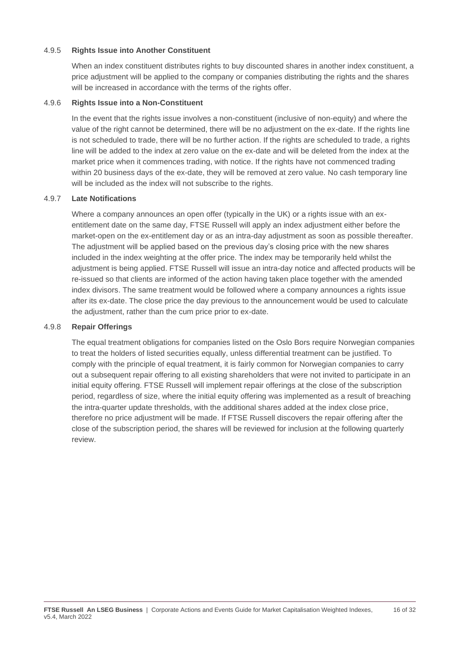#### 4.9.5 **Rights Issue into Another Constituent**

When an index constituent distributes rights to buy discounted shares in another index constituent, a price adjustment will be applied to the company or companies distributing the rights and the shares will be increased in accordance with the terms of the rights offer.

#### 4.9.6 **Rights Issue into a Non-Constituent**

In the event that the rights issue involves a non-constituent (inclusive of non-equity) and where the value of the right cannot be determined, there will be no adjustment on the ex-date. If the rights line is not scheduled to trade, there will be no further action. If the rights are scheduled to trade, a rights line will be added to the index at zero value on the ex-date and will be deleted from the index at the market price when it commences trading, with notice. If the rights have not commenced trading within 20 business days of the ex-date, they will be removed at zero value. No cash temporary line will be included as the index will not subscribe to the rights.

#### 4.9.7 **Late Notifications**

Where a company announces an open offer (typically in the UK) or a rights issue with an exentitlement date on the same day, FTSE Russell will apply an index adjustment either before the market-open on the ex-entitlement day or as an intra-day adjustment as soon as possible thereafter. The adjustment will be applied based on the previous day's closing price with the new shares included in the index weighting at the offer price. The index may be temporarily held whilst the adjustment is being applied. FTSE Russell will issue an intra-day notice and affected products will be re-issued so that clients are informed of the action having taken place together with the amended index divisors. The same treatment would be followed where a company announces a rights issue after its ex-date. The close price the day previous to the announcement would be used to calculate the adjustment, rather than the cum price prior to ex-date.

#### 4.9.8 **Repair Offerings**

The equal treatment obligations for companies listed on the Oslo Bors require Norwegian companies to treat the holders of listed securities equally, unless differential treatment can be justified. To comply with the principle of equal treatment, it is fairly common for Norwegian companies to carry out a subsequent repair offering to all existing shareholders that were not invited to participate in an initial equity offering. FTSE Russell will implement repair offerings at the close of the subscription period, regardless of size, where the initial equity offering was implemented as a result of breaching the intra-quarter update thresholds, with the additional shares added at the index close price, therefore no price adjustment will be made. If FTSE Russell discovers the repair offering after the close of the subscription period, the shares will be reviewed for inclusion at the following quarterly review.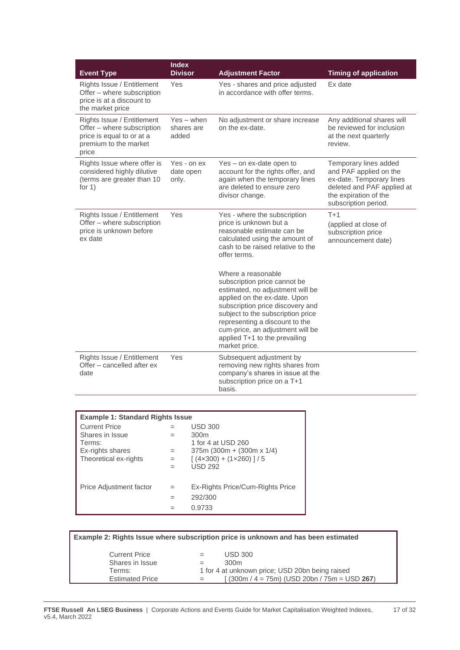| <b>Event Type</b>                                                                                                       | <b>Index</b><br><b>Divisor</b>      | <b>Adjustment Factor</b>                                                                                                                                                                                                                                                                                                | <b>Timing of application</b>                                                                                                                               |
|-------------------------------------------------------------------------------------------------------------------------|-------------------------------------|-------------------------------------------------------------------------------------------------------------------------------------------------------------------------------------------------------------------------------------------------------------------------------------------------------------------------|------------------------------------------------------------------------------------------------------------------------------------------------------------|
| Rights Issue / Entitlement<br>Offer - where subscription<br>price is at a discount to<br>the market price               | Yes                                 | Yes - shares and price adjusted<br>in accordance with offer terms.                                                                                                                                                                                                                                                      | Ex date                                                                                                                                                    |
| Rights Issue / Entitlement<br>Offer – where subscription<br>price is equal to or at a<br>premium to the market<br>price | $Yes - when$<br>shares are<br>added | No adjustment or share increase<br>on the ex-date.                                                                                                                                                                                                                                                                      | Any additional shares will<br>be reviewed for inclusion<br>at the next quarterly<br>review.                                                                |
| Rights Issue where offer is<br>considered highly dilutive<br>(terms are greater than 10<br>for $1)$                     | Yes - on ex<br>date open<br>only.   | Yes – on ex-date open to<br>account for the rights offer, and<br>again when the temporary lines<br>are deleted to ensure zero<br>divisor change.                                                                                                                                                                        | Temporary lines added<br>and PAF applied on the<br>ex-date. Temporary lines<br>deleted and PAF applied at<br>the expiration of the<br>subscription period. |
| Rights Issue / Entitlement<br>Offer - where subscription<br>price is unknown before<br>ex date                          | Yes                                 | Yes - where the subscription<br>price is unknown but a<br>reasonable estimate can be<br>calculated using the amount of<br>cash to be raised relative to the<br>offer terms.                                                                                                                                             | $T+1$<br>(applied at close of<br>subscription price<br>announcement date)                                                                                  |
|                                                                                                                         |                                     | Where a reasonable<br>subscription price cannot be<br>estimated, no adjustment will be<br>applied on the ex-date. Upon<br>subscription price discovery and<br>subject to the subscription price<br>representing a discount to the<br>cum-price, an adjustment will be<br>applied T+1 to the prevailing<br>market price. |                                                                                                                                                            |
| Rights Issue / Entitlement<br>Offer - cancelled after ex<br>date                                                        | Yes                                 | Subsequent adjustment by<br>removing new rights shares from<br>company's shares in issue at the<br>subscription price on a T+1<br>basis.                                                                                                                                                                                |                                                                                                                                                            |

| <b>Example 1: Standard Rights Issue</b> |     |                                  |  |
|-----------------------------------------|-----|----------------------------------|--|
| <b>Current Price</b>                    |     | <b>USD 300</b>                   |  |
| Shares in Issue                         | $=$ | 300 <sub>m</sub>                 |  |
| Terms:                                  |     | 1 for 4 at USD 260               |  |
| Ex-rights shares                        | $=$ | $375m (300m + (300m x 1/4))$     |  |
| Theoretical ex-rights                   | $=$ | $(4x300) + (1x260)$ ]/5          |  |
|                                         |     | <b>USD 292</b>                   |  |
| Price Adjustment factor                 |     | Ex-Rights Price/Cum-Rights Price |  |
|                                         |     | 292/300                          |  |
|                                         |     | 0.9733                           |  |

|                                                                                                                                                                                                                                | Example 2: Rights Issue where subscription price is unknown and has been estimated |  |  |  |
|--------------------------------------------------------------------------------------------------------------------------------------------------------------------------------------------------------------------------------|------------------------------------------------------------------------------------|--|--|--|
| <b>Current Price</b><br><b>USD 300</b><br>$=$<br>Shares in Issue<br>300m<br>$=$<br>1 for 4 at unknown price; USD 20bn being raised<br>Terms:<br>$(300m / 4 = 75m)$ (USD 20bn / 75m = USD 267)<br><b>Estimated Price</b><br>$=$ |                                                                                    |  |  |  |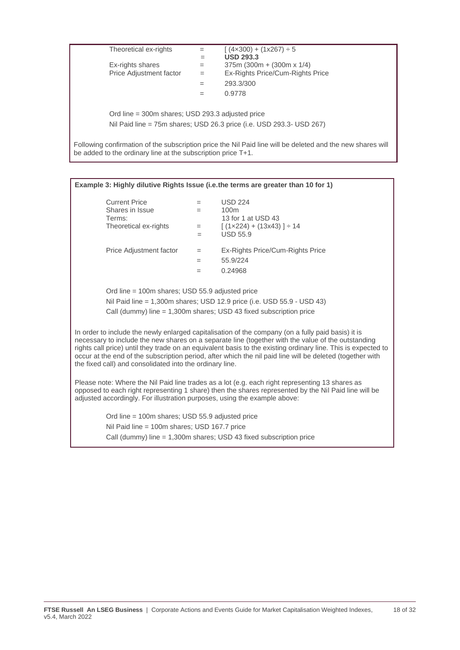| Theoretical ex-rights                                        | $=$ | $(4 \times 300) + (1 \times 267) \div 5$                                                                   |
|--------------------------------------------------------------|-----|------------------------------------------------------------------------------------------------------------|
|                                                              | $=$ | <b>USD 293.3</b>                                                                                           |
| Ex-rights shares                                             | $=$ | 375m (300m + (300m x $1/4$ )                                                                               |
| Price Adjustment factor                                      | $=$ | Ex-Rights Price/Cum-Rights Price                                                                           |
|                                                              | $=$ | 293.3/300                                                                                                  |
|                                                              | $=$ | 0.9778                                                                                                     |
|                                                              |     |                                                                                                            |
| Ord line = 300m shares; USD 293.3 adjusted price             |     |                                                                                                            |
|                                                              |     | Nil Paid line = 75m shares; USD 26.3 price (i.e. USD 293.3- USD 267)                                       |
|                                                              |     |                                                                                                            |
| be added to the ordinary line at the subscription price T+1. |     | Following confirmation of the subscription price the Nil Paid line will be deleted and the new shares will |

| Example 3: Highly dilutive Rights Issue (i.e.the terms are greater than 10 for 1)                                                                                                                                                                                                                                                                                                                                                                                                                  |            |                                                                        |  |
|----------------------------------------------------------------------------------------------------------------------------------------------------------------------------------------------------------------------------------------------------------------------------------------------------------------------------------------------------------------------------------------------------------------------------------------------------------------------------------------------------|------------|------------------------------------------------------------------------|--|
| <b>Current Price</b>                                                                                                                                                                                                                                                                                                                                                                                                                                                                               | $=$        | <b>USD 224</b>                                                         |  |
| Shares in Issue                                                                                                                                                                                                                                                                                                                                                                                                                                                                                    | $=$        | 100 <sub>m</sub>                                                       |  |
| Terms:                                                                                                                                                                                                                                                                                                                                                                                                                                                                                             |            | 13 for 1 at USD 43                                                     |  |
| Theoretical ex-rights                                                                                                                                                                                                                                                                                                                                                                                                                                                                              | $=$<br>$=$ | $(1 \times 224) + (13 \times 43)$ ] ÷ 14<br><b>USD 55.9</b>            |  |
|                                                                                                                                                                                                                                                                                                                                                                                                                                                                                                    |            |                                                                        |  |
| Price Adjustment factor                                                                                                                                                                                                                                                                                                                                                                                                                                                                            | $=$        | Ex-Rights Price/Cum-Rights Price                                       |  |
|                                                                                                                                                                                                                                                                                                                                                                                                                                                                                                    | $=$        | 55.9/224                                                               |  |
|                                                                                                                                                                                                                                                                                                                                                                                                                                                                                                    | $=$        | 0.24968                                                                |  |
|                                                                                                                                                                                                                                                                                                                                                                                                                                                                                                    |            |                                                                        |  |
| Ord line = 100m shares; USD 55.9 adjusted price                                                                                                                                                                                                                                                                                                                                                                                                                                                    |            |                                                                        |  |
|                                                                                                                                                                                                                                                                                                                                                                                                                                                                                                    |            | Nil Paid line = 1,300m shares; USD 12.9 price (i.e. USD 55.9 - USD 43) |  |
|                                                                                                                                                                                                                                                                                                                                                                                                                                                                                                    |            | Call (dummy) line $= 1,300$ m shares; USD 43 fixed subscription price  |  |
| In order to include the newly enlarged capitalisation of the company (on a fully paid basis) it is<br>necessary to include the new shares on a separate line (together with the value of the outstanding<br>rights call price) until they trade on an equivalent basis to the existing ordinary line. This is expected to<br>occur at the end of the subscription period, after which the nil paid line will be deleted (together with<br>the fixed call) and consolidated into the ordinary line. |            |                                                                        |  |
| Please note: Where the Nil Paid line trades as a lot (e.g. each right representing 13 shares as<br>opposed to each right representing 1 share) then the shares represented by the Nil Paid line will be<br>adjusted accordingly. For illustration purposes, using the example above:                                                                                                                                                                                                               |            |                                                                        |  |
| Ord line = 100m shares; USD 55.9 adjusted price                                                                                                                                                                                                                                                                                                                                                                                                                                                    |            |                                                                        |  |
| Nil Paid line = 100m shares; USD 167.7 price                                                                                                                                                                                                                                                                                                                                                                                                                                                       |            |                                                                        |  |
| Call (dummy) line $= 1,300$ m shares; USD 43 fixed subscription price                                                                                                                                                                                                                                                                                                                                                                                                                              |            |                                                                        |  |
|                                                                                                                                                                                                                                                                                                                                                                                                                                                                                                    |            |                                                                        |  |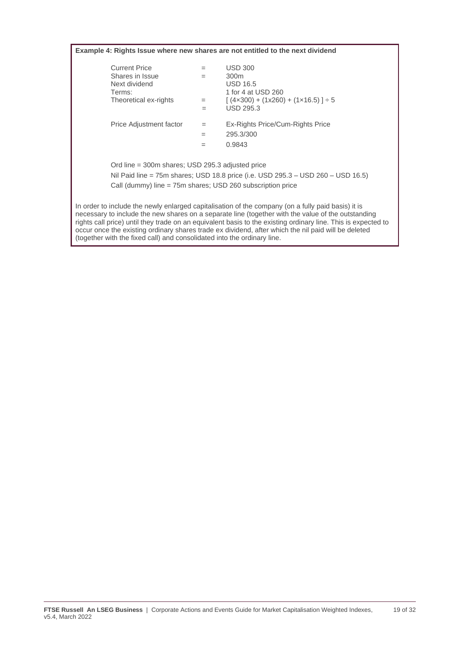**Example 4: Rights Issue where new shares are not entitled to the next dividend** Current Price  $=$  USD 300<br>Shares in Issue  $=$  300m Shares in Issue  $=$  300m<br>Next dividend  $\qquad =$  USD 16.5 Next dividend<br>Terms: Terms:  $\begin{array}{rcl} 1 \text{ for } 4 \text{ at } \text{USD } 260 \\ \text{Theoretical ex- rights} & = & \left( \frac{4 \times 300}{4 \times 300} + \frac{1}{260} \right) \end{array}$  $=$  [  $(4 \times 300) + (1 \times 260) + (1 \times 16.5)$  ]  $\div 5$ = USD 295.3 Price Adjustment factor = Ex-Rights Price/Cum-Rights Price  $= 295.3/300$  $= 0.9843$ Ord line = 300m shares; USD 295.3 adjusted price Nil Paid line = 75m shares; USD 18.8 price (i.e. USD 295.3 – USD 260 – USD 16.5) Call (dummy) line = 75m shares; USD 260 subscription price In order to include the newly enlarged capitalisation of the company (on a fully paid basis) it is necessary to include the new shares on a separate line (together with the value of the outstanding rights call price) until they trade on an equivalent basis to the existing ordinary line. This is expected to occur once the existing ordinary shares trade ex dividend, after which the nil paid will be deleted (together with the fixed call) and consolidated into the ordinary line.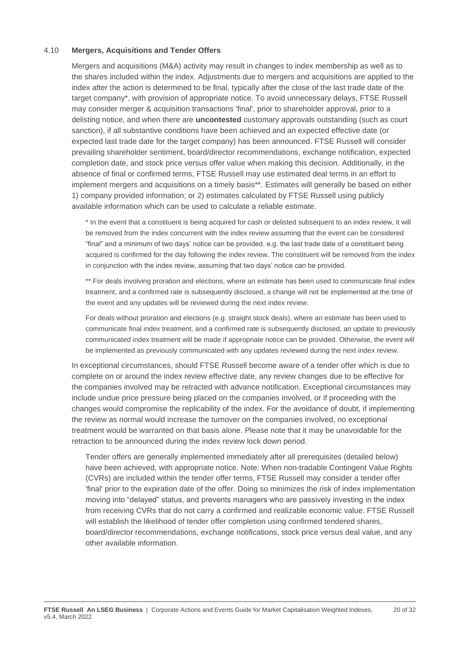#### 4.10 **Mergers, Acquisitions and Tender Offers**

Mergers and acquisitions (M&A) activity may result in changes to index membership as well as to the shares included within the index. Adjustments due to mergers and acquisitions are applied to the index after the action is determined to be final, typically after the close of the last trade date of the target company\*, with provision of appropriate notice. To avoid unnecessary delays, FTSE Russell may consider merger & acquisition transactions 'final', prior to shareholder approval, prior to a delisting notice, and when there are **uncontested** customary approvals outstanding (such as court sanction), if all substantive conditions have been achieved and an expected effective date (or expected last trade date for the target company) has been announced. FTSE Russell will consider prevailing shareholder sentiment, board/director recommendations, exchange notification, expected completion date, and stock price versus offer value when making this decision. Additionally, in the absence of final or confirmed terms, FTSE Russell may use estimated deal terms in an effort to implement mergers and acquisitions on a timely basis\*\*. Estimates will generally be based on either 1) company provided information; or 2) estimates calculated by FTSE Russell using publicly available information which can be used to calculate a reliable estimate.

\* In the event that a constituent is being acquired for cash or delisted subsequent to an index review, it will be removed from the index concurrent with the index review assuming that the event can be considered "final" and a minimum of two days' notice can be provided. e.g. the last trade date of a constituent being acquired is confirmed for the day following the index review. The constituent will be removed from the index in conjunction with the index review, assuming that two days' notice can be provided.

\*\* For deals involving proration and elections, where an estimate has been used to communicate final index treatment, and a confirmed rate is subsequently disclosed, a change will not be implemented at the time of the event and any updates will be reviewed during the next index review.

For deals without proration and elections (e.g. straight stock deals), where an estimate has been used to communicate final index treatment, and a confirmed rate is subsequently disclosed, an update to previously communicated index treatment will be made if appropriate notice can be provided. Otherwise, the event will be implemented as previously communicated with any updates reviewed during the next index review.

In exceptional circumstances, should FTSE Russell become aware of a tender offer which is due to complete on or around the index review effective date, any review changes due to be effective for the companies involved may be retracted with advance notification. Exceptional circumstances may include undue price pressure being placed on the companies involved, or if proceeding with the changes would compromise the replicability of the index. For the avoidance of doubt, if implementing the review as normal would increase the turnover on the companies involved, no exceptional treatment would be warranted on that basis alone. Please note that it may be unavoidable for the retraction to be announced during the index review lock down period.

Tender offers are generally implemented immediately after all prerequisites (detailed below) have been achieved, with appropriate notice. Note: When non-tradable Contingent Value Rights (CVRs) are included within the tender offer terms, FTSE Russell may consider a tender offer 'final' prior to the expiration date of the offer. Doing so minimizes the risk of index implementation moving into "delayed" status, and prevents managers who are passively investing in the index from receiving CVRs that do not carry a confirmed and realizable economic value. FTSE Russell will establish the likelihood of tender offer completion using confirmed tendered shares, board/director recommendations, exchange notifications, stock price versus deal value, and any other available information.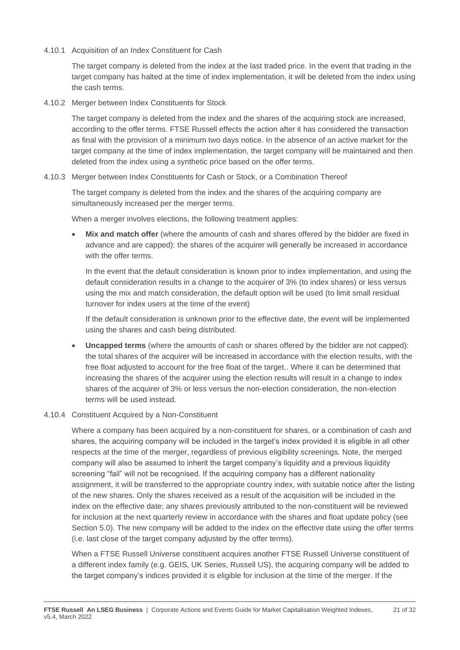4.10.1 Acquisition of an Index Constituent for Cash

The target company is deleted from the index at the last traded price. In the event that trading in the target company has halted at the time of index implementation, it will be deleted from the index using the cash terms.

4.10.2 Merger between Index Constituents for Stock

The target company is deleted from the index and the shares of the acquiring stock are increased, according to the offer terms. FTSE Russell effects the action after it has considered the transaction as final with the provision of a minimum two days notice. In the absence of an active market for the target company at the time of index implementation, the target company will be maintained and then deleted from the index using a synthetic price based on the offer terms.

#### 4.10.3 Merger between Index Constituents for Cash or Stock, or a Combination Thereof

The target company is deleted from the index and the shares of the acquiring company are simultaneously increased per the merger terms.

When a merger involves elections, the following treatment applies:

• **Mix and match offer** (where the amounts of cash and shares offered by the bidder are fixed in advance and are capped): the shares of the acquirer will generally be increased in accordance with the offer terms.

In the event that the default consideration is known prior to index implementation, and using the default consideration results in a change to the acquirer of 3% (to index shares) or less versus using the mix and match consideration, the default option will be used (to limit small residual turnover for index users at the time of the event)

If the default consideration is unknown prior to the effective date, the event will be implemented using the shares and cash being distributed.

• **Uncapped terms** (where the amounts of cash or shares offered by the bidder are not capped): the total shares of the acquirer will be increased in accordance with the election results, with the free float adjusted to account for the free float of the target.. Where it can be determined that increasing the shares of the acquirer using the election results will result in a change to index shares of the acquirer of 3% or less versus the non-election consideration, the non-election terms will be used instead.

#### 4.10.4 Constituent Acquired by a Non-Constituent

Where a company has been acquired by a non-constituent for shares, or a combination of cash and shares, the acquiring company will be included in the target's index provided it is eligible in all other respects at the time of the merger, regardless of previous eligibility screenings. Note, the merged company will also be assumed to inherit the target company's liquidity and a previous liquidity screening "fail" will not be recognised. If the acquiring company has a different nationality assignment, it will be transferred to the appropriate country index, with suitable notice after the listing of the new shares. Only the shares received as a result of the acquisition will be included in the index on the effective date; any shares previously attributed to the non-constituent will be reviewed for inclusion at the next quarterly review in accordance with the shares and float update policy (see Section 5.0). The new company will be added to the index on the effective date using the offer terms (i.e. last close of the target company adjusted by the offer terms).

When a FTSE Russell Universe constituent acquires another FTSE Russell Universe constituent of a different index family (e.g. GEIS, UK Series, Russell US), the acquiring company will be added to the target company's indices provided it is eligible for inclusion at the time of the merger. If the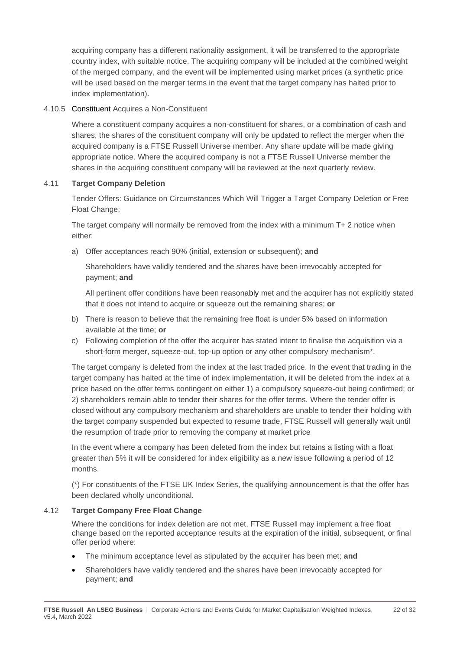acquiring company has a different nationality assignment, it will be transferred to the appropriate country index, with suitable notice. The acquiring company will be included at the combined weight of the merged company, and the event will be implemented using market prices (a synthetic price will be used based on the merger terms in the event that the target company has halted prior to index implementation).

#### 4.10.5 Constituent Acquires a Non-Constituent

Where a constituent company acquires a non-constituent for shares, or a combination of cash and shares, the shares of the constituent company will only be updated to reflect the merger when the acquired company is a FTSE Russell Universe member. Any share update will be made giving appropriate notice. Where the acquired company is not a FTSE Russell Universe member the shares in the acquiring constituent company will be reviewed at the next quarterly review.

#### 4.11 **Target Company Deletion**

Tender Offers: Guidance on Circumstances Which Will Trigger a Target Company Deletion or Free Float Change:

The target company will normally be removed from the index with a minimum T+ 2 notice when either:

a) Offer acceptances reach 90% (initial, extension or subsequent); **and**

Shareholders have validly tendered and the shares have been irrevocably accepted for payment; **and** 

All pertinent offer conditions have been reasonably met and the acquirer has not explicitly stated that it does not intend to acquire or squeeze out the remaining shares; **or**

- b) There is reason to believe that the remaining free float is under 5% based on information available at the time; **or**
- c) Following completion of the offer the acquirer has stated intent to finalise the acquisition via a short-form merger, squeeze-out, top-up option or any other compulsory mechanism\*.

The target company is deleted from the index at the last traded price. In the event that trading in the target company has halted at the time of index implementation, it will be deleted from the index at a price based on the offer terms contingent on either 1) a compulsory squeeze-out being confirmed; or 2) shareholders remain able to tender their shares for the offer terms. Where the tender offer is closed without any compulsory mechanism and shareholders are unable to tender their holding with the target company suspended but expected to resume trade, FTSE Russell will generally wait until the resumption of trade prior to removing the company at market price

In the event where a company has been deleted from the index but retains a listing with a float greater than 5% it will be considered for index eligibility as a new issue following a period of 12 months.

(\*) For constituents of the FTSE UK Index Series, the qualifying announcement is that the offer has been declared wholly unconditional.

#### 4.12 **Target Company Free Float Change**

Where the conditions for index deletion are not met, FTSE Russell may implement a free float change based on the reported acceptance results at the expiration of the initial, subsequent, or final offer period where:

- The minimum acceptance level as stipulated by the acquirer has been met; **and**
- Shareholders have validly tendered and the shares have been irrevocably accepted for payment; **and**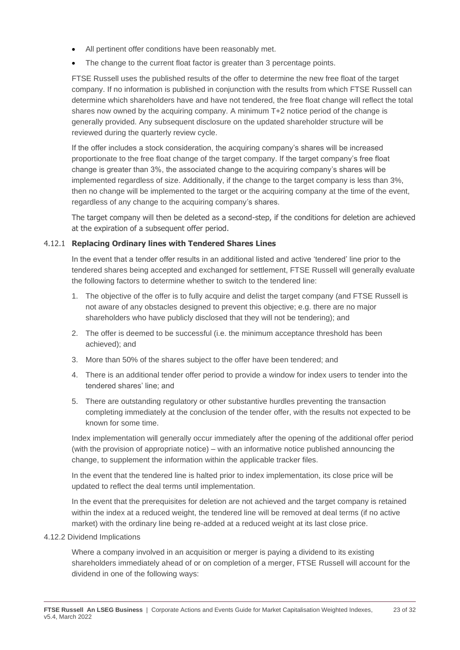- All pertinent offer conditions have been reasonably met.
- The change to the current float factor is greater than 3 percentage points.

FTSE Russell uses the published results of the offer to determine the new free float of the target company. If no information is published in conjunction with the results from which FTSE Russell can determine which shareholders have and have not tendered, the free float change will reflect the total shares now owned by the acquiring company. A minimum T+2 notice period of the change is generally provided. Any subsequent disclosure on the updated shareholder structure will be reviewed during the quarterly review cycle.

If the offer includes a stock consideration, the acquiring company's shares will be increased proportionate to the free float change of the target company. If the target company's free float change is greater than 3%, the associated change to the acquiring company's shares will be implemented regardless of size. Additionally, if the change to the target company is less than 3%, then no change will be implemented to the target or the acquiring company at the time of the event, regardless of any change to the acquiring company's shares.

The target company will then be deleted as a second-step, if the conditions for deletion are achieved at the expiration of a subsequent offer period.

#### 4.12.1 **Replacing Ordinary lines with Tendered Shares Lines**

In the event that a tender offer results in an additional listed and active 'tendered' line prior to the tendered shares being accepted and exchanged for settlement, FTSE Russell will generally evaluate the following factors to determine whether to switch to the tendered line:

- 1. The objective of the offer is to fully acquire and delist the target company (and FTSE Russell is not aware of any obstacles designed to prevent this objective; e.g. there are no major shareholders who have publicly disclosed that they will not be tendering); and
- 2. The offer is deemed to be successful (i.e. the minimum acceptance threshold has been achieved); and
- 3. More than 50% of the shares subject to the offer have been tendered; and
- 4. There is an additional tender offer period to provide a window for index users to tender into the tendered shares' line; and
- 5. There are outstanding regulatory or other substantive hurdles preventing the transaction completing immediately at the conclusion of the tender offer, with the results not expected to be known for some time.

Index implementation will generally occur immediately after the opening of the additional offer period (with the provision of appropriate notice) – with an informative notice published announcing the change, to supplement the information within the applicable tracker files.

In the event that the tendered line is halted prior to index implementation, its close price will be updated to reflect the deal terms until implementation.

In the event that the prerequisites for deletion are not achieved and the target company is retained within the index at a reduced weight, the tendered line will be removed at deal terms (if no active market) with the ordinary line being re-added at a reduced weight at its last close price.

4.12.2 Dividend Implications

Where a company involved in an acquisition or merger is paying a dividend to its existing shareholders immediately ahead of or on completion of a merger, FTSE Russell will account for the dividend in one of the following ways: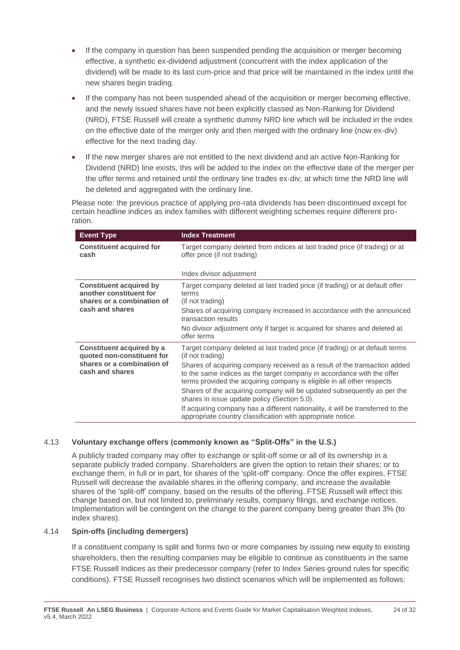- If the company in question has been suspended pending the acquisition or merger becoming effective, a synthetic ex-dividend adjustment (concurrent with the index application of the dividend) will be made to its last cum-price and that price will be maintained in the index until the new shares begin trading.
- If the company has not been suspended ahead of the acquisition or merger becoming effective. and the newly issued shares have not been explicitly classed as Non-Ranking for Dividend (NRD), FTSE Russell will create a synthetic dummy NRD line which will be included in the index on the effective date of the merger only and then merged with the ordinary line (now ex-div) effective for the next trading day.
- If the new merger shares are not entitled to the next dividend and an active Non-Ranking for Dividend (NRD) line exists, this will be added to the index on the effective date of the merger per the offer terms and retained until the ordinary line trades ex-div; at which time the NRD line will be deleted and aggregated with the ordinary line.

Please note: the previous practice of applying pro-rata dividends has been discontinued except for certain headline indices as index families with different weighting schemes require different proration.

| <b>Event Type</b>                                                                                          | <b>Index Treatment</b>                                                                                                                                                                                                                                                                                                                                                                                                                                                                                                                                                                                         |
|------------------------------------------------------------------------------------------------------------|----------------------------------------------------------------------------------------------------------------------------------------------------------------------------------------------------------------------------------------------------------------------------------------------------------------------------------------------------------------------------------------------------------------------------------------------------------------------------------------------------------------------------------------------------------------------------------------------------------------|
| <b>Constituent acquired for</b><br>cash                                                                    | Target company deleted from indices at last traded price (if trading) or at<br>offer price (if not trading)                                                                                                                                                                                                                                                                                                                                                                                                                                                                                                    |
|                                                                                                            | Index divisor adjustment                                                                                                                                                                                                                                                                                                                                                                                                                                                                                                                                                                                       |
| <b>Constituent acquired by</b><br>another constituent for<br>shares or a combination of<br>cash and shares | Target company deleted at last traded price (if trading) or at default offer<br>terms<br>(if not trading)<br>Shares of acquiring company increased in accordance with the announced<br>transaction results<br>No divisor adjustment only if target is acquired for shares and deleted at<br>offer terms                                                                                                                                                                                                                                                                                                        |
| Constituent acquired by a<br>quoted non-constituent for<br>shares or a combination of<br>cash and shares   | Target company deleted at last traded price (if trading) or at default terms<br>(if not trading)<br>Shares of acquiring company received as a result of the transaction added<br>to the same indices as the target company in accordance with the offer<br>terms provided the acquiring company is eligible in all other respects<br>Shares of the acquiring company will be updated subsequently as per the<br>shares in issue update policy (Section 5.0).<br>If acquiring company has a different nationality, it will be transferred to the<br>appropriate country classification with appropriate notice. |

#### 4.13 **Voluntary exchange offers (commonly known as "Split-Offs" in the U.S.)**

A publicly traded company may offer to exchange or split-off some or all of its ownership in a separate publicly traded company. Shareholders are given the option to retain their shares; or to exchange them, in full or in part, for shares of the 'split-off' company. Once the offer expires, FTSE Russell will decrease the available shares in the offering company, and increase the available shares of the 'split-off' company, based on the results of the offering. FTSE Russell will effect this change based on, but not limited to, preliminary results, company filings, and exchange notices. Implementation will be contingent on the change to the parent company being greater than 3% (to index shares).

#### 4.14 **Spin-offs (including demergers)**

If a constituent company is split and forms two or more companies by issuing new equity to existing shareholders, then the resulting companies may be eligible to continue as constituents in the same FTSE Russell Indices as their predecessor company (refer to Index Series ground rules for specific conditions). FTSE Russell recognises two distinct scenarios which will be implemented as follows: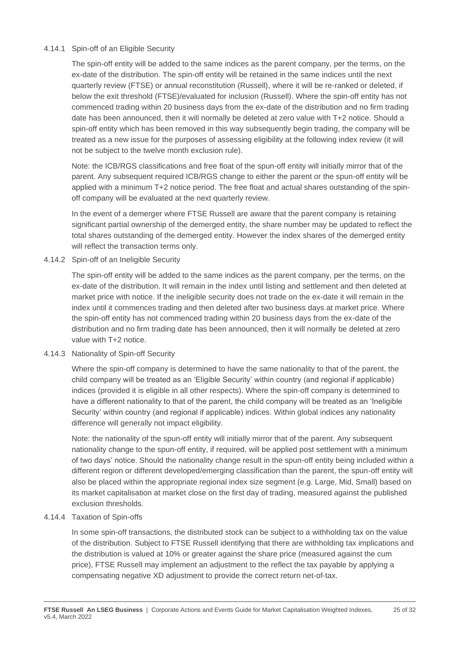#### 4.14.1 Spin-off of an Eligible Security

The spin-off entity will be added to the same indices as the parent company, per the terms, on the ex-date of the distribution. The spin-off entity will be retained in the same indices until the next quarterly review (FTSE) or annual reconstitution (Russell), where it will be re-ranked or deleted, if below the exit threshold (FTSE)/evaluated for inclusion (Russell). Where the spin-off entity has not commenced trading within 20 business days from the ex-date of the distribution and no firm trading date has been announced, then it will normally be deleted at zero value with T+2 notice. Should a spin-off entity which has been removed in this way subsequently begin trading, the company will be treated as a new issue for the purposes of assessing eligibility at the following index review (it will not be subject to the twelve month exclusion rule).

Note: the ICB/RGS classifications and free float of the spun-off entity will initially mirror that of the parent. Any subsequent required ICB/RGS change to either the parent or the spun-off entity will be applied with a minimum T+2 notice period. The free float and actual shares outstanding of the spinoff company will be evaluated at the next quarterly review.

In the event of a demerger where FTSE Russell are aware that the parent company is retaining significant partial ownership of the demerged entity, the share number may be updated to reflect the total shares outstanding of the demerged entity. However the index shares of the demerged entity will reflect the transaction terms only.

4.14.2 Spin-off of an Ineligible Security

The spin-off entity will be added to the same indices as the parent company, per the terms, on the ex-date of the distribution. It will remain in the index until listing and settlement and then deleted at market price with notice. If the ineligible security does not trade on the ex-date it will remain in the index until it commences trading and then deleted after two business days at market price. Where the spin-off entity has not commenced trading within 20 business days from the ex-date of the distribution and no firm trading date has been announced, then it will normally be deleted at zero value with T+2 notice.

4.14.3 Nationality of Spin-off Security

Where the spin-off company is determined to have the same nationality to that of the parent, the child company will be treated as an 'Eligible Security' within country (and regional if applicable) indices (provided it is eligible in all other respects). Where the spin-off company is determined to have a different nationality to that of the parent, the child company will be treated as an 'Ineligible Security' within country (and regional if applicable) indices. Within global indices any nationality difference will generally not impact eligibility.

Note: the nationality of the spun-off entity will initially mirror that of the parent. Any subsequent nationality change to the spun-off entity, if required, will be applied post settlement with a minimum of two days' notice. Should the nationality change result in the spun-off entity being included within a different region or different developed/emerging classification than the parent, the spun-off entity will also be placed within the appropriate regional index size segment (e.g. Large, Mid, Small) based on its market capitalisation at market close on the first day of trading, measured against the published exclusion thresholds.

4.14.4 Taxation of Spin-offs

In some spin-off transactions, the distributed stock can be subject to a withholding tax on the value of the distribution. Subject to FTSE Russell identifying that there are withholding tax implications and the distribution is valued at 10% or greater against the share price (measured against the cum price), FTSE Russell may implement an adjustment to the reflect the tax payable by applying a compensating negative XD adjustment to provide the correct return net-of-tax.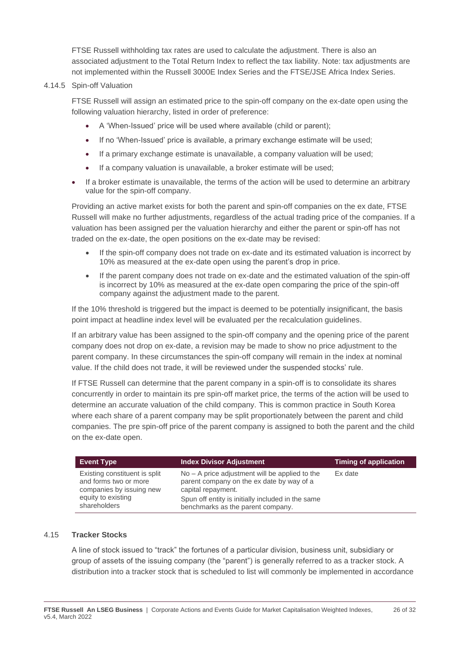FTSE Russell withholding tax rates are used to calculate the adjustment. There is also an associated adjustment to the Total Return Index to reflect the tax liability. Note: tax adjustments are not implemented within the Russell 3000E Index Series and the FTSE/JSE Africa Index Series.

#### 4.14.5 Spin-off Valuation

FTSE Russell will assign an estimated price to the spin-off company on the ex-date open using the following valuation hierarchy, listed in order of preference:

- A 'When-Issued' price will be used where available (child or parent);
- If no 'When-Issued' price is available, a primary exchange estimate will be used;
- If a primary exchange estimate is unavailable, a company valuation will be used;
- If a company valuation is unavailable, a broker estimate will be used;
- If a broker estimate is unavailable, the terms of the action will be used to determine an arbitrary value for the spin-off company.

Providing an active market exists for both the parent and spin-off companies on the ex date, FTSE Russell will make no further adjustments, regardless of the actual trading price of the companies. If a valuation has been assigned per the valuation hierarchy and either the parent or spin-off has not traded on the ex-date, the open positions on the ex-date may be revised:

- If the spin-off company does not trade on ex-date and its estimated valuation is incorrect by 10% as measured at the ex-date open using the parent's drop in price.
- If the parent company does not trade on ex-date and the estimated valuation of the spin-off is incorrect by 10% as measured at the ex-date open comparing the price of the spin-off company against the adjustment made to the parent.

If the 10% threshold is triggered but the impact is deemed to be potentially insignificant, the basis point impact at headline index level will be evaluated per the recalculation guidelines.

If an arbitrary value has been assigned to the spin-off company and the opening price of the parent company does not drop on ex-date, a revision may be made to show no price adjustment to the parent company. In these circumstances the spin-off company will remain in the index at nominal value. If the child does not trade, it will be reviewed under the suspended stocks' rule.

If FTSE Russell can determine that the parent company in a spin-off is to consolidate its shares concurrently in order to maintain its pre spin-off market price, the terms of the action will be used to determine an accurate valuation of the child company. This is common practice in South Korea where each share of a parent company may be split proportionately between the parent and child companies. The pre spin-off price of the parent company is assigned to both the parent and the child on the ex-date open.

| <b>Event Type</b>                                                                                                        | <b>Index Divisor Adjustment</b>                                                                                                                                                                               | <b>Timing of application</b> |
|--------------------------------------------------------------------------------------------------------------------------|---------------------------------------------------------------------------------------------------------------------------------------------------------------------------------------------------------------|------------------------------|
| Existing constituent is split<br>and forms two or more<br>companies by issuing new<br>equity to existing<br>shareholders | $No - A$ price adjustment will be applied to the<br>parent company on the ex date by way of a<br>capital repayment.<br>Spun off entity is initially included in the same<br>benchmarks as the parent company. | Ex date                      |

#### 4.15 **Tracker Stocks**

A line of stock issued to "track" the fortunes of a particular division, business unit, subsidiary or group of assets of the issuing company (the "parent") is generally referred to as a tracker stock. A distribution into a tracker stock that is scheduled to list will commonly be implemented in accordance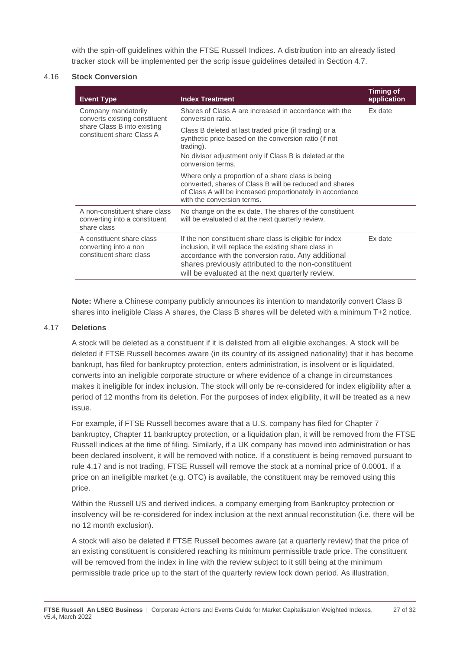with the spin-off guidelines within the FTSE Russell Indices. A distribution into an already listed tracker stock will be implemented per the scrip issue guidelines detailed in Section 4.7.

#### 4.16 **Stock Conversion**

| <b>Event Type</b>                                                                                                | <b>Index Treatment</b>                                                                                                                                                                                                                                                               | <b>Timing of</b><br>application |
|------------------------------------------------------------------------------------------------------------------|--------------------------------------------------------------------------------------------------------------------------------------------------------------------------------------------------------------------------------------------------------------------------------------|---------------------------------|
| Company mandatorily<br>converts existing constituent<br>share Class B into existing<br>constituent share Class A | Shares of Class A are increased in accordance with the<br>conversion ratio.                                                                                                                                                                                                          | Ex date                         |
|                                                                                                                  | Class B deleted at last traded price (if trading) or a<br>synthetic price based on the conversion ratio (if not<br>trading).<br>No divisor adjustment only if Class B is deleted at the<br>conversion terms.                                                                         |                                 |
|                                                                                                                  | Where only a proportion of a share class is being<br>converted, shares of Class B will be reduced and shares<br>of Class A will be increased proportionately in accordance<br>with the conversion terms.                                                                             |                                 |
| A non-constituent share class<br>converting into a constituent<br>share class                                    | No change on the ex date. The shares of the constituent<br>will be evaluated d at the next quarterly review.                                                                                                                                                                         |                                 |
| A constituent share class<br>converting into a non<br>constituent share class                                    | If the non constituent share class is eligible for index<br>inclusion, it will replace the existing share class in<br>accordance with the conversion ratio. Any additional<br>shares previously attributed to the non-constituent<br>will be evaluated at the next quarterly review. | Ex date                         |

**Note:** Where a Chinese company publicly announces its intention to mandatorily convert Class B shares into ineligible Class A shares, the Class B shares will be deleted with a minimum T+2 notice.

#### 4.17 **Deletions**

A stock will be deleted as a constituent if it is delisted from all eligible exchanges. A stock will be deleted if FTSE Russell becomes aware (in its country of its assigned nationality) that it has become bankrupt, has filed for bankruptcy protection, enters administration, is insolvent or is liquidated, converts into an ineligible corporate structure or where evidence of a change in circumstances makes it ineligible for index inclusion. The stock will only be re-considered for index eligibility after a period of 12 months from its deletion. For the purposes of index eligibility, it will be treated as a new issue.

For example, if FTSE Russell becomes aware that a U.S. company has filed for Chapter 7 bankruptcy, Chapter 11 bankruptcy protection, or a liquidation plan, it will be removed from the FTSE Russell indices at the time of filing. Similarly, if a UK company has moved into administration or has been declared insolvent, it will be removed with notice. If a constituent is being removed pursuant to rule 4.17 and is not trading, FTSE Russell will remove the stock at a nominal price of 0.0001. If a price on an ineligible market (e.g. OTC) is available, the constituent may be removed using this price.

Within the Russell US and derived indices, a company emerging from Bankruptcy protection or insolvency will be re-considered for index inclusion at the next annual reconstitution (i.e. there will be no 12 month exclusion).

A stock will also be deleted if FTSE Russell becomes aware (at a quarterly review) that the price of an existing constituent is considered reaching its minimum permissible trade price. The constituent will be removed from the index in line with the review subject to it still being at the minimum permissible trade price up to the start of the quarterly review lock down period. As illustration,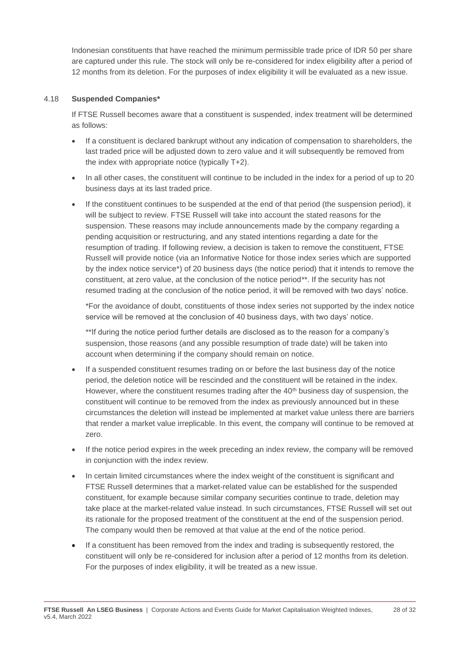Indonesian constituents that have reached the minimum permissible trade price of IDR 50 per share are captured under this rule. The stock will only be re-considered for index eligibility after a period of 12 months from its deletion. For the purposes of index eligibility it will be evaluated as a new issue.

#### 4.18 **Suspended Companies\***

If FTSE Russell becomes aware that a constituent is suspended, index treatment will be determined as follows:

- If a constituent is declared bankrupt without any indication of compensation to shareholders, the last traded price will be adjusted down to zero value and it will subsequently be removed from the index with appropriate notice (typically T+2).
- In all other cases, the constituent will continue to be included in the index for a period of up to 20 business days at its last traded price.
- If the constituent continues to be suspended at the end of that period (the suspension period), it will be subject to review. FTSE Russell will take into account the stated reasons for the suspension. These reasons may include announcements made by the company regarding a pending acquisition or restructuring, and any stated intentions regarding a date for the resumption of trading. If following review, a decision is taken to remove the constituent, FTSE Russell will provide notice (via an Informative Notice for those index series which are supported by the index notice service\*) of 20 business days (the notice period) that it intends to remove the constituent, at zero value, at the conclusion of the notice period\*\*. If the security has not resumed trading at the conclusion of the notice period, it will be removed with two days' notice.

\*For the avoidance of doubt, constituents of those index series not supported by the index notice service will be removed at the conclusion of 40 business days, with two days' notice.

\*\*If during the notice period further details are disclosed as to the reason for a company's suspension, those reasons (and any possible resumption of trade date) will be taken into account when determining if the company should remain on notice.

- If a suspended constituent resumes trading on or before the last business day of the notice period, the deletion notice will be rescinded and the constituent will be retained in the index. However, where the constituent resumes trading after the 40<sup>th</sup> business day of suspension, the constituent will continue to be removed from the index as previously announced but in these circumstances the deletion will instead be implemented at market value unless there are barriers that render a market value irreplicable. In this event, the company will continue to be removed at zero.
- If the notice period expires in the week preceding an index review, the company will be removed in conjunction with the index review.
- In certain limited circumstances where the index weight of the constituent is significant and FTSE Russell determines that a market-related value can be established for the suspended constituent, for example because similar company securities continue to trade, deletion may take place at the market-related value instead. In such circumstances, FTSE Russell will set out its rationale for the proposed treatment of the constituent at the end of the suspension period. The company would then be removed at that value at the end of the notice period.
- If a constituent has been removed from the index and trading is subsequently restored, the constituent will only be re-considered for inclusion after a period of 12 months from its deletion. For the purposes of index eligibility, it will be treated as a new issue.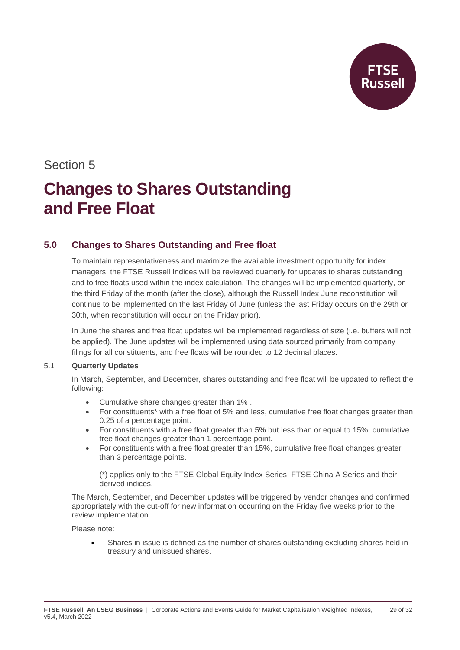

### Section 5

## **Changes to Shares Outstanding and Free Float**

#### **5.0 Changes to Shares Outstanding and Free float**

To maintain representativeness and maximize the available investment opportunity for index managers, the FTSE Russell Indices will be reviewed quarterly for updates to shares outstanding and to free floats used within the index calculation. The changes will be implemented quarterly, on the third Friday of the month (after the close), although the Russell Index June reconstitution will continue to be implemented on the last Friday of June (unless the last Friday occurs on the 29th or 30th, when reconstitution will occur on the Friday prior).

In June the shares and free float updates will be implemented regardless of size (i.e. buffers will not be applied). The June updates will be implemented using data sourced primarily from company filings for all constituents, and free floats will be rounded to 12 decimal places.

#### 5.1 **Quarterly Updates**

In March, September, and December, shares outstanding and free float will be updated to reflect the following:

- Cumulative share changes greater than 1% .
- For constituents<sup>\*</sup> with a free float of 5% and less, cumulative free float changes greater than 0.25 of a percentage point.
- For constituents with a free float greater than 5% but less than or equal to 15%, cumulative free float changes greater than 1 percentage point.
- For constituents with a free float greater than 15%, cumulative free float changes greater than 3 percentage points.

(\*) applies only to the FTSE Global Equity Index Series, FTSE China A Series and their derived indices.

The March, September, and December updates will be triggered by vendor changes and confirmed appropriately with the cut-off for new information occurring on the Friday five weeks prior to the review implementation.

Please note:

• Shares in issue is defined as the number of shares outstanding excluding shares held in treasury and unissued shares.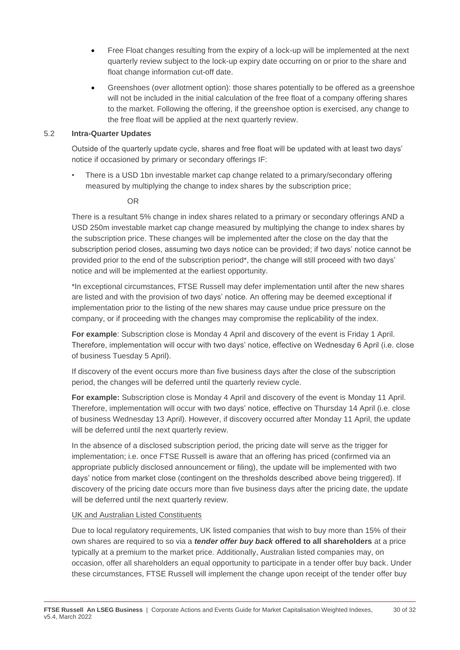- Free Float changes resulting from the expiry of a lock-up will be implemented at the next quarterly review subject to the lock-up expiry date occurring on or prior to the share and float change information cut-off date.
- Greenshoes (over allotment option): those shares potentially to be offered as a greenshoe will not be included in the initial calculation of the free float of a company offering shares to the market. Following the offering, if the greenshoe option is exercised, any change to the free float will be applied at the next quarterly review.

#### 5.2 **Intra-Quarter Updates**

Outside of the quarterly update cycle, shares and free float will be updated with at least two days' notice if occasioned by primary or secondary offerings IF:

• There is a USD 1bn investable market cap change related to a primary/secondary offering measured by multiplying the change to index shares by the subscription price;

#### OR

There is a resultant 5% change in index shares related to a primary or secondary offerings AND a USD 250m investable market cap change measured by multiplying the change to index shares by the subscription price. These changes will be implemented after the close on the day that the subscription period closes, assuming two days notice can be provided; if two days' notice cannot be provided prior to the end of the subscription period\*, the change will still proceed with two days' notice and will be implemented at the earliest opportunity.

\*In exceptional circumstances, FTSE Russell may defer implementation until after the new shares are listed and with the provision of two days' notice. An offering may be deemed exceptional if implementation prior to the listing of the new shares may cause undue price pressure on the company, or if proceeding with the changes may compromise the replicability of the index.

**For example**: Subscription close is Monday 4 April and discovery of the event is Friday 1 April. Therefore, implementation will occur with two days' notice, effective on Wednesday 6 April (i.e. close of business Tuesday 5 April).

If discovery of the event occurs more than five business days after the close of the subscription period, the changes will be deferred until the quarterly review cycle.

**For example:** Subscription close is Monday 4 April and discovery of the event is Monday 11 April. Therefore, implementation will occur with two days' notice, effective on Thursday 14 April (i.e. close of business Wednesday 13 April). However, if discovery occurred after Monday 11 April, the update will be deferred until the next quarterly review.

In the absence of a disclosed subscription period, the pricing date will serve as the trigger for implementation; i.e. once FTSE Russell is aware that an offering has priced (confirmed via an appropriate publicly disclosed announcement or filing), the update will be implemented with two days' notice from market close (contingent on the thresholds described above being triggered). If discovery of the pricing date occurs more than five business days after the pricing date, the update will be deferred until the next quarterly review.

#### UK and Australian Listed Constituents

Due to local regulatory requirements, UK listed companies that wish to buy more than 15% of their own shares are required to so via a *tender offer buy back* **offered to all shareholders** at a price typically at a premium to the market price. Additionally, Australian listed companies may, on occasion, offer all shareholders an equal opportunity to participate in a tender offer buy back. Under these circumstances, FTSE Russell will implement the change upon receipt of the tender offer buy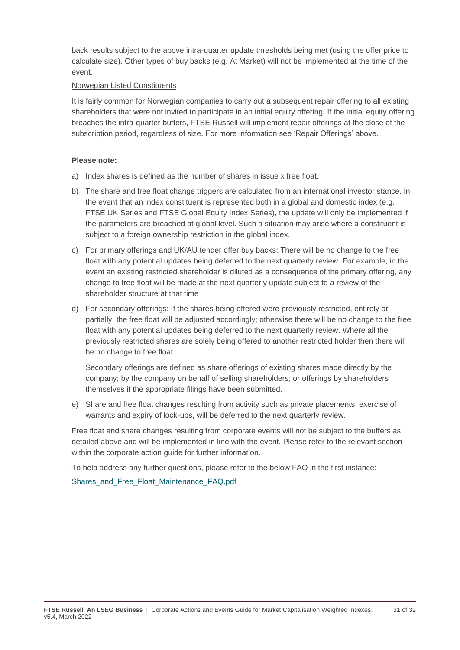back results subject to the above intra-quarter update thresholds being met (using the offer price to calculate size). Other types of buy backs (e.g. At Market) will not be implemented at the time of the event.

#### Norwegian Listed Constituents

It is fairly common for Norwegian companies to carry out a subsequent repair offering to all existing shareholders that were not invited to participate in an initial equity offering. If the initial equity offering breaches the intra-quarter buffers, FTSE Russell will implement repair offerings at the close of the subscription period, regardless of size. For more information see 'Repair Offerings' above.

#### **Please note:**

- a) Index shares is defined as the number of shares in issue x free float.
- b) The share and free float change triggers are calculated from an international investor stance. In the event that an index constituent is represented both in a global and domestic index (e.g. FTSE UK Series and FTSE Global Equity Index Series), the update will only be implemented if the parameters are breached at global level. Such a situation may arise where a constituent is subject to a foreign ownership restriction in the global index.
- c) For primary offerings and UK/AU tender offer buy backs: There will be no change to the free float with any potential updates being deferred to the next quarterly review. For example, in the event an existing restricted shareholder is diluted as a consequence of the primary offering, any change to free float will be made at the next quarterly update subject to a review of the shareholder structure at that time
- d) For secondary offerings: If the shares being offered were previously restricted, entirely or partially, the free float will be adjusted accordingly; otherwise there will be no change to the free float with any potential updates being deferred to the next quarterly review. Where all the previously restricted shares are solely being offered to another restricted holder then there will be no change to free float.

Secondary offerings are defined as share offerings of existing shares made directly by the company; by the company on behalf of selling shareholders; or offerings by shareholders themselves if the appropriate filings have been submitted.

e) Share and free float changes resulting from activity such as private placements, exercise of warrants and expiry of lock-ups, will be deferred to the next quarterly review.

Free float and share changes resulting from corporate events will not be subject to the buffers as detailed above and will be implemented in line with the event. Please refer to the relevant section within the corporate action guide for further information.

To help address any further questions, please refer to the below FAQ in the first instance:

[Shares\\_and\\_Free\\_Float\\_Maintenance\\_FAQ.pdf](https://research.ftserussell.com/products/downloads/Shares_and_Free_Float_Maintenance_FAQ.pdf)